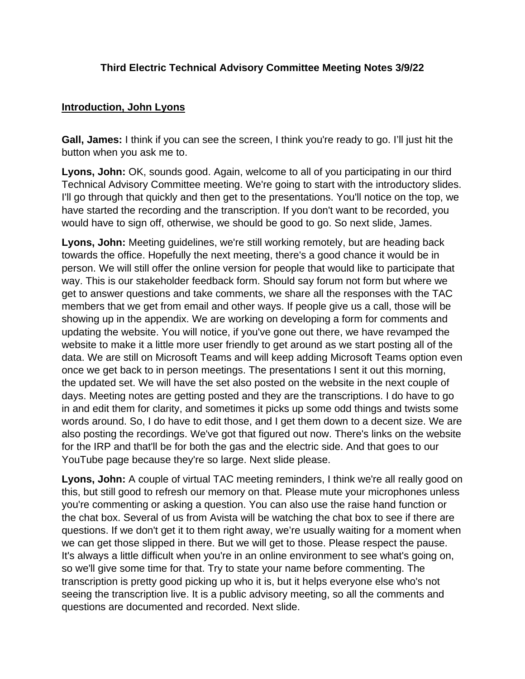## **Third Electric Technical Advisory Committee Meeting Notes 3/9/22**

#### **Introduction, John Lyons**

**Gall, James:** I think if you can see the screen, I think you're ready to go. I'll just hit the button when you ask me to.

**Lyons, John:** OK, sounds good. Again, welcome to all of you participating in our third Technical Advisory Committee meeting. We're going to start with the introductory slides. I'll go through that quickly and then get to the presentations. You'll notice on the top, we have started the recording and the transcription. If you don't want to be recorded, you would have to sign off, otherwise, we should be good to go. So next slide, James.

**Lyons, John:** Meeting guidelines, we're still working remotely, but are heading back towards the office. Hopefully the next meeting, there's a good chance it would be in person. We will still offer the online version for people that would like to participate that way. This is our stakeholder feedback form. Should say forum not form but where we get to answer questions and take comments, we share all the responses with the TAC members that we get from email and other ways. If people give us a call, those will be showing up in the appendix. We are working on developing a form for comments and updating the website. You will notice, if you've gone out there, we have revamped the website to make it a little more user friendly to get around as we start posting all of the data. We are still on Microsoft Teams and will keep adding Microsoft Teams option even once we get back to in person meetings. The presentations I sent it out this morning, the updated set. We will have the set also posted on the website in the next couple of days. Meeting notes are getting posted and they are the transcriptions. I do have to go in and edit them for clarity, and sometimes it picks up some odd things and twists some words around. So, I do have to edit those, and I get them down to a decent size. We are also posting the recordings. We've got that figured out now. There's links on the website for the IRP and that'll be for both the gas and the electric side. And that goes to our YouTube page because they're so large. Next slide please.

**Lyons, John:** A couple of virtual TAC meeting reminders, I think we're all really good on this, but still good to refresh our memory on that. Please mute your microphones unless you're commenting or asking a question. You can also use the raise hand function or the chat box. Several of us from Avista will be watching the chat box to see if there are questions. If we don't get it to them right away, we're usually waiting for a moment when we can get those slipped in there. But we will get to those. Please respect the pause. It's always a little difficult when you're in an online environment to see what's going on, so we'll give some time for that. Try to state your name before commenting. The transcription is pretty good picking up who it is, but it helps everyone else who's not seeing the transcription live. It is a public advisory meeting, so all the comments and questions are documented and recorded. Next slide.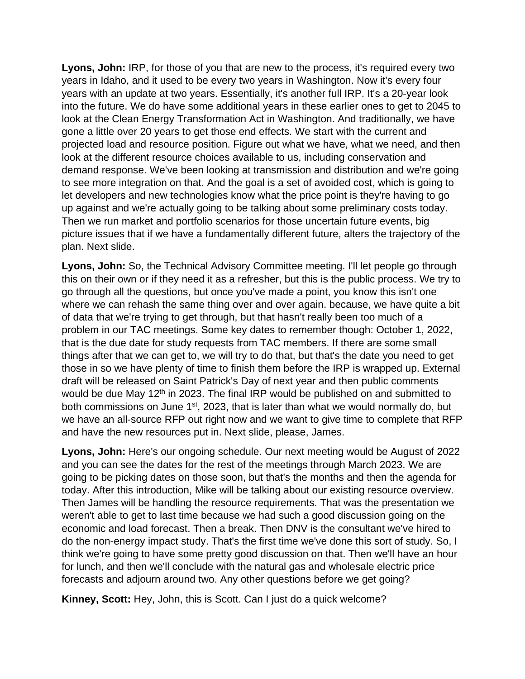**Lyons, John:** IRP, for those of you that are new to the process, it's required every two years in Idaho, and it used to be every two years in Washington. Now it's every four years with an update at two years. Essentially, it's another full IRP. It's a 20-year look into the future. We do have some additional years in these earlier ones to get to 2045 to look at the Clean Energy Transformation Act in Washington. And traditionally, we have gone a little over 20 years to get those end effects. We start with the current and projected load and resource position. Figure out what we have, what we need, and then look at the different resource choices available to us, including conservation and demand response. We've been looking at transmission and distribution and we're going to see more integration on that. And the goal is a set of avoided cost, which is going to let developers and new technologies know what the price point is they're having to go up against and we're actually going to be talking about some preliminary costs today. Then we run market and portfolio scenarios for those uncertain future events, big picture issues that if we have a fundamentally different future, alters the trajectory of the plan. Next slide.

**Lyons, John:** So, the Technical Advisory Committee meeting. I'll let people go through this on their own or if they need it as a refresher, but this is the public process. We try to go through all the questions, but once you've made a point, you know this isn't one where we can rehash the same thing over and over again. because, we have quite a bit of data that we're trying to get through, but that hasn't really been too much of a problem in our TAC meetings. Some key dates to remember though: October 1, 2022, that is the due date for study requests from TAC members. If there are some small things after that we can get to, we will try to do that, but that's the date you need to get those in so we have plenty of time to finish them before the IRP is wrapped up. External draft will be released on Saint Patrick's Day of next year and then public comments would be due May 12<sup>th</sup> in 2023. The final IRP would be published on and submitted to both commissions on June 1<sup>st</sup>, 2023, that is later than what we would normally do, but we have an all-source RFP out right now and we want to give time to complete that RFP and have the new resources put in. Next slide, please, James.

**Lyons, John:** Here's our ongoing schedule. Our next meeting would be August of 2022 and you can see the dates for the rest of the meetings through March 2023. We are going to be picking dates on those soon, but that's the months and then the agenda for today. After this introduction, Mike will be talking about our existing resource overview. Then James will be handling the resource requirements. That was the presentation we weren't able to get to last time because we had such a good discussion going on the economic and load forecast. Then a break. Then DNV is the consultant we've hired to do the non-energy impact study. That's the first time we've done this sort of study. So, I think we're going to have some pretty good discussion on that. Then we'll have an hour for lunch, and then we'll conclude with the natural gas and wholesale electric price forecasts and adjourn around two. Any other questions before we get going?

**Kinney, Scott:** Hey, John, this is Scott. Can I just do a quick welcome?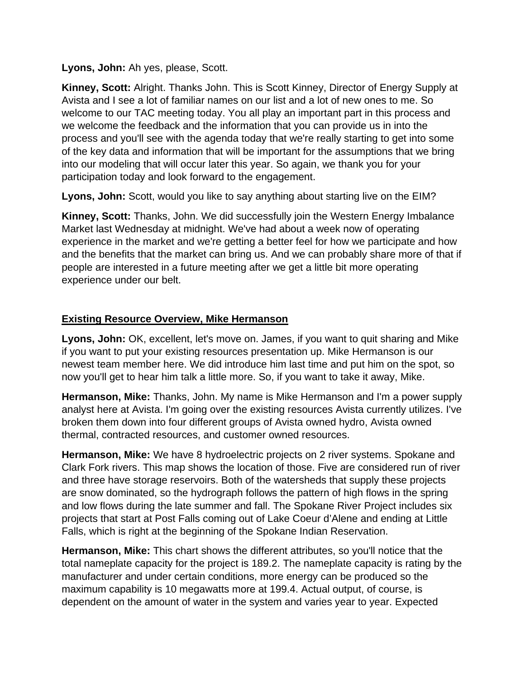**Lyons, John:** Ah yes, please, Scott.

**Kinney, Scott:** Alright. Thanks John. This is Scott Kinney, Director of Energy Supply at Avista and I see a lot of familiar names on our list and a lot of new ones to me. So welcome to our TAC meeting today. You all play an important part in this process and we welcome the feedback and the information that you can provide us in into the process and you'll see with the agenda today that we're really starting to get into some of the key data and information that will be important for the assumptions that we bring into our modeling that will occur later this year. So again, we thank you for your participation today and look forward to the engagement.

**Lyons, John:** Scott, would you like to say anything about starting live on the EIM?

**Kinney, Scott:** Thanks, John. We did successfully join the Western Energy Imbalance Market last Wednesday at midnight. We've had about a week now of operating experience in the market and we're getting a better feel for how we participate and how and the benefits that the market can bring us. And we can probably share more of that if people are interested in a future meeting after we get a little bit more operating experience under our belt.

## **Existing Resource Overview, Mike Hermanson**

**Lyons, John:** OK, excellent, let's move on. James, if you want to quit sharing and Mike if you want to put your existing resources presentation up. Mike Hermanson is our newest team member here. We did introduce him last time and put him on the spot, so now you'll get to hear him talk a little more. So, if you want to take it away, Mike.

**Hermanson, Mike:** Thanks, John. My name is Mike Hermanson and I'm a power supply analyst here at Avista. I'm going over the existing resources Avista currently utilizes. I've broken them down into four different groups of Avista owned hydro, Avista owned thermal, contracted resources, and customer owned resources.

**Hermanson, Mike:** We have 8 hydroelectric projects on 2 river systems. Spokane and Clark Fork rivers. This map shows the location of those. Five are considered run of river and three have storage reservoirs. Both of the watersheds that supply these projects are snow dominated, so the hydrograph follows the pattern of high flows in the spring and low flows during the late summer and fall. The Spokane River Project includes six projects that start at Post Falls coming out of Lake Coeur d'Alene and ending at Little Falls, which is right at the beginning of the Spokane Indian Reservation.

**Hermanson, Mike:** This chart shows the different attributes, so you'll notice that the total nameplate capacity for the project is 189.2. The nameplate capacity is rating by the manufacturer and under certain conditions, more energy can be produced so the maximum capability is 10 megawatts more at 199.4. Actual output, of course, is dependent on the amount of water in the system and varies year to year. Expected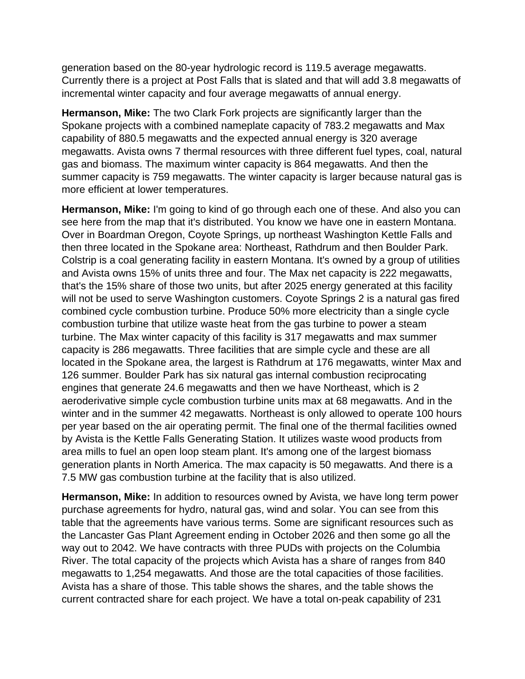generation based on the 80-year hydrologic record is 119.5 average megawatts. Currently there is a project at Post Falls that is slated and that will add 3.8 megawatts of incremental winter capacity and four average megawatts of annual energy.

**Hermanson, Mike:** The two Clark Fork projects are significantly larger than the Spokane projects with a combined nameplate capacity of 783.2 megawatts and Max capability of 880.5 megawatts and the expected annual energy is 320 average megawatts. Avista owns 7 thermal resources with three different fuel types, coal, natural gas and biomass. The maximum winter capacity is 864 megawatts. And then the summer capacity is 759 megawatts. The winter capacity is larger because natural gas is more efficient at lower temperatures.

**Hermanson, Mike:** I'm going to kind of go through each one of these. And also you can see here from the map that it's distributed. You know we have one in eastern Montana. Over in Boardman Oregon, Coyote Springs, up northeast Washington Kettle Falls and then three located in the Spokane area: Northeast, Rathdrum and then Boulder Park. Colstrip is a coal generating facility in eastern Montana. It's owned by a group of utilities and Avista owns 15% of units three and four. The Max net capacity is 222 megawatts, that's the 15% share of those two units, but after 2025 energy generated at this facility will not be used to serve Washington customers. Coyote Springs 2 is a natural gas fired combined cycle combustion turbine. Produce 50% more electricity than a single cycle combustion turbine that utilize waste heat from the gas turbine to power a steam turbine. The Max winter capacity of this facility is 317 megawatts and max summer capacity is 286 megawatts. Three facilities that are simple cycle and these are all located in the Spokane area, the largest is Rathdrum at 176 megawatts, winter Max and 126 summer. Boulder Park has six natural gas internal combustion reciprocating engines that generate 24.6 megawatts and then we have Northeast, which is 2 aeroderivative simple cycle combustion turbine units max at 68 megawatts. And in the winter and in the summer 42 megawatts. Northeast is only allowed to operate 100 hours per year based on the air operating permit. The final one of the thermal facilities owned by Avista is the Kettle Falls Generating Station. It utilizes waste wood products from area mills to fuel an open loop steam plant. It's among one of the largest biomass generation plants in North America. The max capacity is 50 megawatts. And there is a 7.5 MW gas combustion turbine at the facility that is also utilized.

**Hermanson, Mike:** In addition to resources owned by Avista, we have long term power purchase agreements for hydro, natural gas, wind and solar. You can see from this table that the agreements have various terms. Some are significant resources such as the Lancaster Gas Plant Agreement ending in October 2026 and then some go all the way out to 2042. We have contracts with three PUDs with projects on the Columbia River. The total capacity of the projects which Avista has a share of ranges from 840 megawatts to 1,254 megawatts. And those are the total capacities of those facilities. Avista has a share of those. This table shows the shares, and the table shows the current contracted share for each project. We have a total on-peak capability of 231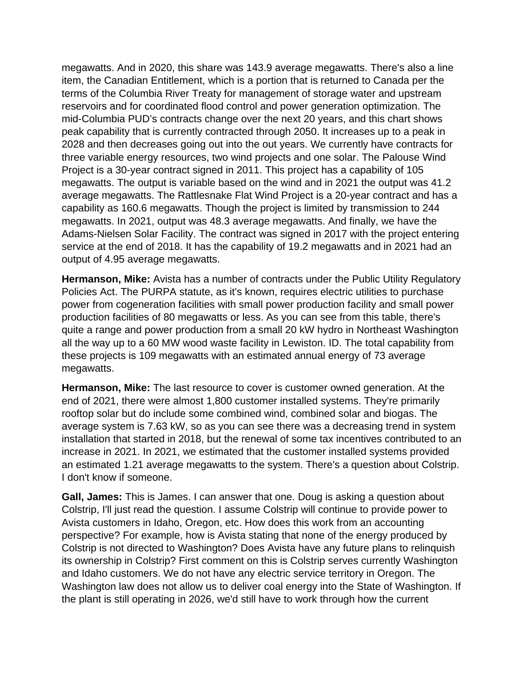megawatts. And in 2020, this share was 143.9 average megawatts. There's also a line item, the Canadian Entitlement, which is a portion that is returned to Canada per the terms of the Columbia River Treaty for management of storage water and upstream reservoirs and for coordinated flood control and power generation optimization. The mid-Columbia PUD's contracts change over the next 20 years, and this chart shows peak capability that is currently contracted through 2050. It increases up to a peak in 2028 and then decreases going out into the out years. We currently have contracts for three variable energy resources, two wind projects and one solar. The Palouse Wind Project is a 30-year contract signed in 2011. This project has a capability of 105 megawatts. The output is variable based on the wind and in 2021 the output was 41.2 average megawatts. The Rattlesnake Flat Wind Project is a 20-year contract and has a capability as 160.6 megawatts. Though the project is limited by transmission to 244 megawatts. In 2021, output was 48.3 average megawatts. And finally, we have the Adams-Nielsen Solar Facility. The contract was signed in 2017 with the project entering service at the end of 2018. It has the capability of 19.2 megawatts and in 2021 had an output of 4.95 average megawatts.

**Hermanson, Mike:** Avista has a number of contracts under the Public Utility Regulatory Policies Act. The PURPA statute, as it's known, requires electric utilities to purchase power from cogeneration facilities with small power production facility and small power production facilities of 80 megawatts or less. As you can see from this table, there's quite a range and power production from a small 20 kW hydro in Northeast Washington all the way up to a 60 MW wood waste facility in Lewiston. ID. The total capability from these projects is 109 megawatts with an estimated annual energy of 73 average megawatts.

**Hermanson, Mike:** The last resource to cover is customer owned generation. At the end of 2021, there were almost 1,800 customer installed systems. They're primarily rooftop solar but do include some combined wind, combined solar and biogas. The average system is 7.63 kW, so as you can see there was a decreasing trend in system installation that started in 2018, but the renewal of some tax incentives contributed to an increase in 2021. In 2021, we estimated that the customer installed systems provided an estimated 1.21 average megawatts to the system. There's a question about Colstrip. I don't know if someone.

**Gall, James:** This is James. I can answer that one. Doug is asking a question about Colstrip, I'll just read the question. I assume Colstrip will continue to provide power to Avista customers in Idaho, Oregon, etc. How does this work from an accounting perspective? For example, how is Avista stating that none of the energy produced by Colstrip is not directed to Washington? Does Avista have any future plans to relinquish its ownership in Colstrip? First comment on this is Colstrip serves currently Washington and Idaho customers. We do not have any electric service territory in Oregon. The Washington law does not allow us to deliver coal energy into the State of Washington. If the plant is still operating in 2026, we'd still have to work through how the current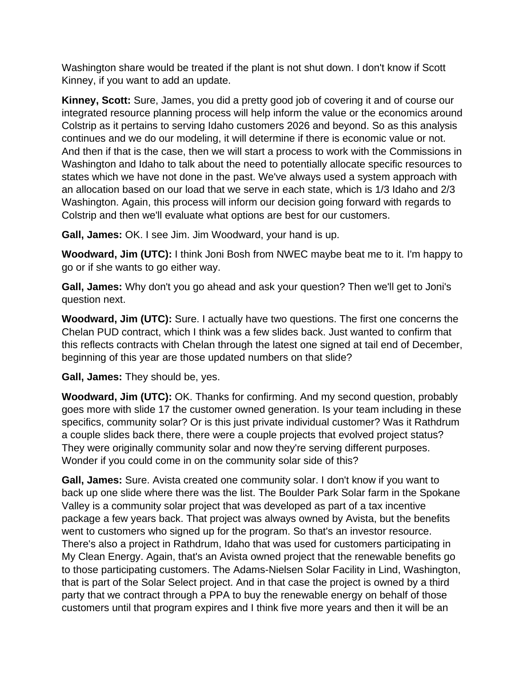Washington share would be treated if the plant is not shut down. I don't know if Scott Kinney, if you want to add an update.

**Kinney, Scott:** Sure, James, you did a pretty good job of covering it and of course our integrated resource planning process will help inform the value or the economics around Colstrip as it pertains to serving Idaho customers 2026 and beyond. So as this analysis continues and we do our modeling, it will determine if there is economic value or not. And then if that is the case, then we will start a process to work with the Commissions in Washington and Idaho to talk about the need to potentially allocate specific resources to states which we have not done in the past. We've always used a system approach with an allocation based on our load that we serve in each state, which is 1/3 Idaho and 2/3 Washington. Again, this process will inform our decision going forward with regards to Colstrip and then we'll evaluate what options are best for our customers.

**Gall, James:** OK. I see Jim. Jim Woodward, your hand is up.

**Woodward, Jim (UTC):** I think Joni Bosh from NWEC maybe beat me to it. I'm happy to go or if she wants to go either way.

**Gall, James:** Why don't you go ahead and ask your question? Then we'll get to Joni's question next.

**Woodward, Jim (UTC):** Sure. I actually have two questions. The first one concerns the Chelan PUD contract, which I think was a few slides back. Just wanted to confirm that this reflects contracts with Chelan through the latest one signed at tail end of December, beginning of this year are those updated numbers on that slide?

**Gall, James:** They should be, yes.

**Woodward, Jim (UTC):** OK. Thanks for confirming. And my second question, probably goes more with slide 17 the customer owned generation. Is your team including in these specifics, community solar? Or is this just private individual customer? Was it Rathdrum a couple slides back there, there were a couple projects that evolved project status? They were originally community solar and now they're serving different purposes. Wonder if you could come in on the community solar side of this?

**Gall, James:** Sure. Avista created one community solar. I don't know if you want to back up one slide where there was the list. The Boulder Park Solar farm in the Spokane Valley is a community solar project that was developed as part of a tax incentive package a few years back. That project was always owned by Avista, but the benefits went to customers who signed up for the program. So that's an investor resource. There's also a project in Rathdrum, Idaho that was used for customers participating in My Clean Energy. Again, that's an Avista owned project that the renewable benefits go to those participating customers. The Adams-Nielsen Solar Facility in Lind, Washington, that is part of the Solar Select project. And in that case the project is owned by a third party that we contract through a PPA to buy the renewable energy on behalf of those customers until that program expires and I think five more years and then it will be an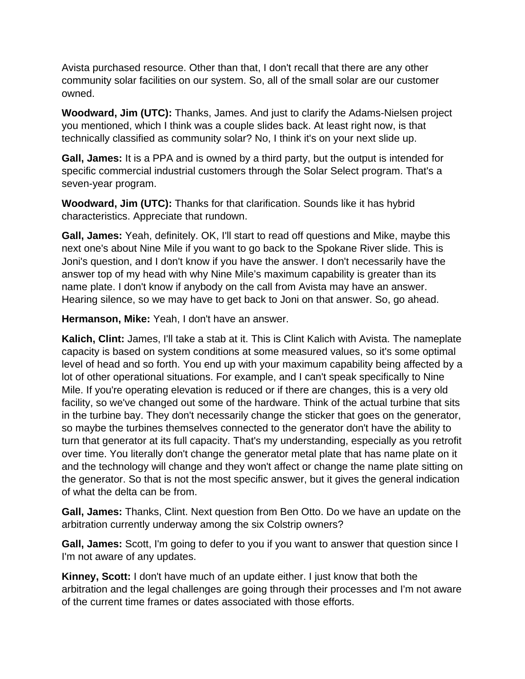Avista purchased resource. Other than that, I don't recall that there are any other community solar facilities on our system. So, all of the small solar are our customer owned.

**Woodward, Jim (UTC):** Thanks, James. And just to clarify the Adams-Nielsen project you mentioned, which I think was a couple slides back. At least right now, is that technically classified as community solar? No, I think it's on your next slide up.

**Gall, James:** It is a PPA and is owned by a third party, but the output is intended for specific commercial industrial customers through the Solar Select program. That's a seven-year program.

**Woodward, Jim (UTC):** Thanks for that clarification. Sounds like it has hybrid characteristics. Appreciate that rundown.

**Gall, James:** Yeah, definitely. OK, I'll start to read off questions and Mike, maybe this next one's about Nine Mile if you want to go back to the Spokane River slide. This is Joni's question, and I don't know if you have the answer. I don't necessarily have the answer top of my head with why Nine Mile's maximum capability is greater than its name plate. I don't know if anybody on the call from Avista may have an answer. Hearing silence, so we may have to get back to Joni on that answer. So, go ahead.

**Hermanson, Mike:** Yeah, I don't have an answer.

**Kalich, Clint:** James, I'll take a stab at it. This is Clint Kalich with Avista. The nameplate capacity is based on system conditions at some measured values, so it's some optimal level of head and so forth. You end up with your maximum capability being affected by a lot of other operational situations. For example, and I can't speak specifically to Nine Mile. If you're operating elevation is reduced or if there are changes, this is a very old facility, so we've changed out some of the hardware. Think of the actual turbine that sits in the turbine bay. They don't necessarily change the sticker that goes on the generator, so maybe the turbines themselves connected to the generator don't have the ability to turn that generator at its full capacity. That's my understanding, especially as you retrofit over time. You literally don't change the generator metal plate that has name plate on it and the technology will change and they won't affect or change the name plate sitting on the generator. So that is not the most specific answer, but it gives the general indication of what the delta can be from.

**Gall, James:** Thanks, Clint. Next question from Ben Otto. Do we have an update on the arbitration currently underway among the six Colstrip owners?

**Gall, James:** Scott, I'm going to defer to you if you want to answer that question since I I'm not aware of any updates.

**Kinney, Scott:** I don't have much of an update either. I just know that both the arbitration and the legal challenges are going through their processes and I'm not aware of the current time frames or dates associated with those efforts.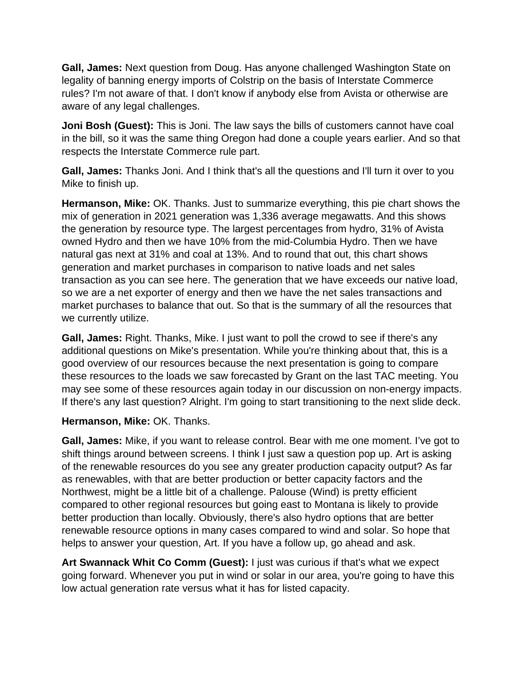**Gall, James:** Next question from Doug. Has anyone challenged Washington State on legality of banning energy imports of Colstrip on the basis of Interstate Commerce rules? I'm not aware of that. I don't know if anybody else from Avista or otherwise are aware of any legal challenges.

**Joni Bosh (Guest):** This is Joni. The law says the bills of customers cannot have coal in the bill, so it was the same thing Oregon had done a couple years earlier. And so that respects the Interstate Commerce rule part.

**Gall, James:** Thanks Joni. And I think that's all the questions and I'll turn it over to you Mike to finish up.

**Hermanson, Mike:** OK. Thanks. Just to summarize everything, this pie chart shows the mix of generation in 2021 generation was 1,336 average megawatts. And this shows the generation by resource type. The largest percentages from hydro, 31% of Avista owned Hydro and then we have 10% from the mid-Columbia Hydro. Then we have natural gas next at 31% and coal at 13%. And to round that out, this chart shows generation and market purchases in comparison to native loads and net sales transaction as you can see here. The generation that we have exceeds our native load, so we are a net exporter of energy and then we have the net sales transactions and market purchases to balance that out. So that is the summary of all the resources that we currently utilize.

**Gall, James:** Right. Thanks, Mike. I just want to poll the crowd to see if there's any additional questions on Mike's presentation. While you're thinking about that, this is a good overview of our resources because the next presentation is going to compare these resources to the loads we saw forecasted by Grant on the last TAC meeting. You may see some of these resources again today in our discussion on non-energy impacts. If there's any last question? Alright. I'm going to start transitioning to the next slide deck.

#### **Hermanson, Mike:** OK. Thanks.

**Gall, James:** Mike, if you want to release control. Bear with me one moment. I've got to shift things around between screens. I think I just saw a question pop up. Art is asking of the renewable resources do you see any greater production capacity output? As far as renewables, with that are better production or better capacity factors and the Northwest, might be a little bit of a challenge. Palouse (Wind) is pretty efficient compared to other regional resources but going east to Montana is likely to provide better production than locally. Obviously, there's also hydro options that are better renewable resource options in many cases compared to wind and solar. So hope that helps to answer your question, Art. If you have a follow up, go ahead and ask.

**Art Swannack Whit Co Comm (Guest):** I just was curious if that's what we expect going forward. Whenever you put in wind or solar in our area, you're going to have this low actual generation rate versus what it has for listed capacity.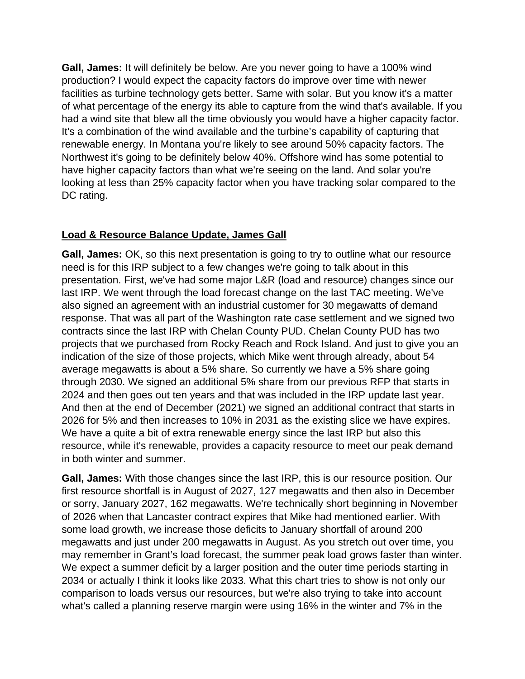**Gall, James:** It will definitely be below. Are you never going to have a 100% wind production? I would expect the capacity factors do improve over time with newer facilities as turbine technology gets better. Same with solar. But you know it's a matter of what percentage of the energy its able to capture from the wind that's available. If you had a wind site that blew all the time obviously you would have a higher capacity factor. It's a combination of the wind available and the turbine's capability of capturing that renewable energy. In Montana you're likely to see around 50% capacity factors. The Northwest it's going to be definitely below 40%. Offshore wind has some potential to have higher capacity factors than what we're seeing on the land. And solar you're looking at less than 25% capacity factor when you have tracking solar compared to the DC rating.

## **Load & Resource Balance Update, James Gall**

**Gall, James:** OK, so this next presentation is going to try to outline what our resource need is for this IRP subject to a few changes we're going to talk about in this presentation. First, we've had some major L&R (load and resource) changes since our last IRP. We went through the load forecast change on the last TAC meeting. We've also signed an agreement with an industrial customer for 30 megawatts of demand response. That was all part of the Washington rate case settlement and we signed two contracts since the last IRP with Chelan County PUD. Chelan County PUD has two projects that we purchased from Rocky Reach and Rock Island. And just to give you an indication of the size of those projects, which Mike went through already, about 54 average megawatts is about a 5% share. So currently we have a 5% share going through 2030. We signed an additional 5% share from our previous RFP that starts in 2024 and then goes out ten years and that was included in the IRP update last year. And then at the end of December (2021) we signed an additional contract that starts in 2026 for 5% and then increases to 10% in 2031 as the existing slice we have expires. We have a quite a bit of extra renewable energy since the last IRP but also this resource, while it's renewable, provides a capacity resource to meet our peak demand in both winter and summer.

**Gall, James:** With those changes since the last IRP, this is our resource position. Our first resource shortfall is in August of 2027, 127 megawatts and then also in December or sorry, January 2027, 162 megawatts. We're technically short beginning in November of 2026 when that Lancaster contract expires that Mike had mentioned earlier. With some load growth, we increase those deficits to January shortfall of around 200 megawatts and just under 200 megawatts in August. As you stretch out over time, you may remember in Grant's load forecast, the summer peak load grows faster than winter. We expect a summer deficit by a larger position and the outer time periods starting in 2034 or actually I think it looks like 2033. What this chart tries to show is not only our comparison to loads versus our resources, but we're also trying to take into account what's called a planning reserve margin were using 16% in the winter and 7% in the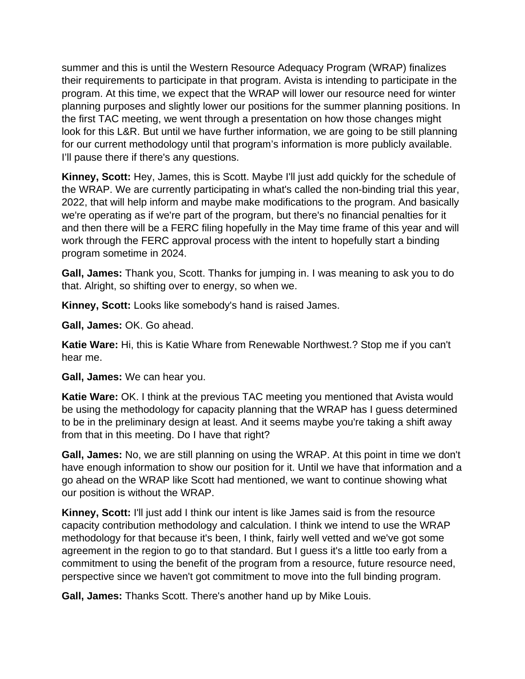summer and this is until the Western Resource Adequacy Program (WRAP) finalizes their requirements to participate in that program. Avista is intending to participate in the program. At this time, we expect that the WRAP will lower our resource need for winter planning purposes and slightly lower our positions for the summer planning positions. In the first TAC meeting, we went through a presentation on how those changes might look for this L&R. But until we have further information, we are going to be still planning for our current methodology until that program's information is more publicly available. I'll pause there if there's any questions.

**Kinney, Scott:** Hey, James, this is Scott. Maybe I'll just add quickly for the schedule of the WRAP. We are currently participating in what's called the non-binding trial this year, 2022, that will help inform and maybe make modifications to the program. And basically we're operating as if we're part of the program, but there's no financial penalties for it and then there will be a FERC filing hopefully in the May time frame of this year and will work through the FERC approval process with the intent to hopefully start a binding program sometime in 2024.

**Gall, James:** Thank you, Scott. Thanks for jumping in. I was meaning to ask you to do that. Alright, so shifting over to energy, so when we.

**Kinney, Scott:** Looks like somebody's hand is raised James.

**Gall, James:** OK. Go ahead.

**Katie Ware:** Hi, this is Katie Whare from Renewable Northwest.? Stop me if you can't hear me.

**Gall, James:** We can hear you.

**Katie Ware:** OK. I think at the previous TAC meeting you mentioned that Avista would be using the methodology for capacity planning that the WRAP has I guess determined to be in the preliminary design at least. And it seems maybe you're taking a shift away from that in this meeting. Do I have that right?

**Gall, James:** No, we are still planning on using the WRAP. At this point in time we don't have enough information to show our position for it. Until we have that information and a go ahead on the WRAP like Scott had mentioned, we want to continue showing what our position is without the WRAP.

**Kinney, Scott:** I'll just add I think our intent is like James said is from the resource capacity contribution methodology and calculation. I think we intend to use the WRAP methodology for that because it's been, I think, fairly well vetted and we've got some agreement in the region to go to that standard. But I guess it's a little too early from a commitment to using the benefit of the program from a resource, future resource need, perspective since we haven't got commitment to move into the full binding program.

**Gall, James:** Thanks Scott. There's another hand up by Mike Louis.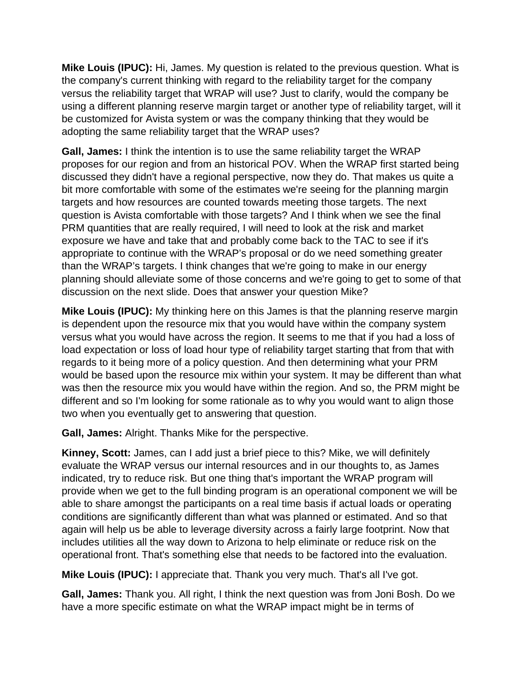**Mike Louis (IPUC):** Hi, James. My question is related to the previous question. What is the company's current thinking with regard to the reliability target for the company versus the reliability target that WRAP will use? Just to clarify, would the company be using a different planning reserve margin target or another type of reliability target, will it be customized for Avista system or was the company thinking that they would be adopting the same reliability target that the WRAP uses?

**Gall, James:** I think the intention is to use the same reliability target the WRAP proposes for our region and from an historical POV. When the WRAP first started being discussed they didn't have a regional perspective, now they do. That makes us quite a bit more comfortable with some of the estimates we're seeing for the planning margin targets and how resources are counted towards meeting those targets. The next question is Avista comfortable with those targets? And I think when we see the final PRM quantities that are really required, I will need to look at the risk and market exposure we have and take that and probably come back to the TAC to see if it's appropriate to continue with the WRAP's proposal or do we need something greater than the WRAP's targets. I think changes that we're going to make in our energy planning should alleviate some of those concerns and we're going to get to some of that discussion on the next slide. Does that answer your question Mike?

**Mike Louis (IPUC):** My thinking here on this James is that the planning reserve margin is dependent upon the resource mix that you would have within the company system versus what you would have across the region. It seems to me that if you had a loss of load expectation or loss of load hour type of reliability target starting that from that with regards to it being more of a policy question. And then determining what your PRM would be based upon the resource mix within your system. It may be different than what was then the resource mix you would have within the region. And so, the PRM might be different and so I'm looking for some rationale as to why you would want to align those two when you eventually get to answering that question.

**Gall, James:** Alright. Thanks Mike for the perspective.

**Kinney, Scott:** James, can I add just a brief piece to this? Mike, we will definitely evaluate the WRAP versus our internal resources and in our thoughts to, as James indicated, try to reduce risk. But one thing that's important the WRAP program will provide when we get to the full binding program is an operational component we will be able to share amongst the participants on a real time basis if actual loads or operating conditions are significantly different than what was planned or estimated. And so that again will help us be able to leverage diversity across a fairly large footprint. Now that includes utilities all the way down to Arizona to help eliminate or reduce risk on the operational front. That's something else that needs to be factored into the evaluation.

**Mike Louis (IPUC):** I appreciate that. Thank you very much. That's all I've got.

**Gall, James:** Thank you. All right, I think the next question was from Joni Bosh. Do we have a more specific estimate on what the WRAP impact might be in terms of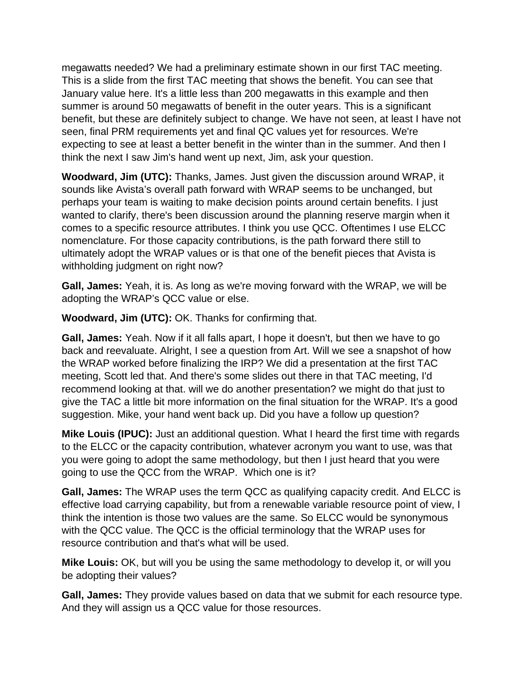megawatts needed? We had a preliminary estimate shown in our first TAC meeting. This is a slide from the first TAC meeting that shows the benefit. You can see that January value here. It's a little less than 200 megawatts in this example and then summer is around 50 megawatts of benefit in the outer years. This is a significant benefit, but these are definitely subject to change. We have not seen, at least I have not seen, final PRM requirements yet and final QC values yet for resources. We're expecting to see at least a better benefit in the winter than in the summer. And then I think the next I saw Jim's hand went up next, Jim, ask your question.

**Woodward, Jim (UTC):** Thanks, James. Just given the discussion around WRAP, it sounds like Avista's overall path forward with WRAP seems to be unchanged, but perhaps your team is waiting to make decision points around certain benefits. I just wanted to clarify, there's been discussion around the planning reserve margin when it comes to a specific resource attributes. I think you use QCC. Oftentimes I use ELCC nomenclature. For those capacity contributions, is the path forward there still to ultimately adopt the WRAP values or is that one of the benefit pieces that Avista is withholding judgment on right now?

**Gall, James:** Yeah, it is. As long as we're moving forward with the WRAP, we will be adopting the WRAP's QCC value or else.

**Woodward, Jim (UTC):** OK. Thanks for confirming that.

**Gall, James:** Yeah. Now if it all falls apart, I hope it doesn't, but then we have to go back and reevaluate. Alright, I see a question from Art. Will we see a snapshot of how the WRAP worked before finalizing the IRP? We did a presentation at the first TAC meeting, Scott led that. And there's some slides out there in that TAC meeting, I'd recommend looking at that. will we do another presentation? we might do that just to give the TAC a little bit more information on the final situation for the WRAP. It's a good suggestion. Mike, your hand went back up. Did you have a follow up question?

**Mike Louis (IPUC):** Just an additional question. What I heard the first time with regards to the ELCC or the capacity contribution, whatever acronym you want to use, was that you were going to adopt the same methodology, but then I just heard that you were going to use the QCC from the WRAP. Which one is it?

**Gall, James:** The WRAP uses the term QCC as qualifying capacity credit. And ELCC is effective load carrying capability, but from a renewable variable resource point of view, I think the intention is those two values are the same. So ELCC would be synonymous with the QCC value. The QCC is the official terminology that the WRAP uses for resource contribution and that's what will be used.

**Mike Louis:** OK, but will you be using the same methodology to develop it, or will you be adopting their values?

**Gall, James:** They provide values based on data that we submit for each resource type. And they will assign us a QCC value for those resources.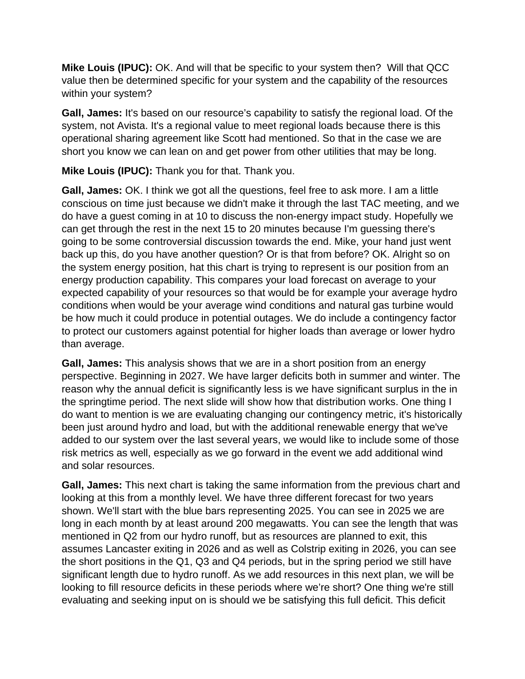**Mike Louis (IPUC):** OK. And will that be specific to your system then? Will that QCC value then be determined specific for your system and the capability of the resources within your system?

**Gall, James:** It's based on our resource's capability to satisfy the regional load. Of the system, not Avista. It's a regional value to meet regional loads because there is this operational sharing agreement like Scott had mentioned. So that in the case we are short you know we can lean on and get power from other utilities that may be long.

**Mike Louis (IPUC):** Thank you for that. Thank you.

**Gall, James:** OK. I think we got all the questions, feel free to ask more. I am a little conscious on time just because we didn't make it through the last TAC meeting, and we do have a guest coming in at 10 to discuss the non-energy impact study. Hopefully we can get through the rest in the next 15 to 20 minutes because I'm guessing there's going to be some controversial discussion towards the end. Mike, your hand just went back up this, do you have another question? Or is that from before? OK. Alright so on the system energy position, hat this chart is trying to represent is our position from an energy production capability. This compares your load forecast on average to your expected capability of your resources so that would be for example your average hydro conditions when would be your average wind conditions and natural gas turbine would be how much it could produce in potential outages. We do include a contingency factor to protect our customers against potential for higher loads than average or lower hydro than average.

**Gall, James:** This analysis shows that we are in a short position from an energy perspective. Beginning in 2027. We have larger deficits both in summer and winter. The reason why the annual deficit is significantly less is we have significant surplus in the in the springtime period. The next slide will show how that distribution works. One thing I do want to mention is we are evaluating changing our contingency metric, it's historically been just around hydro and load, but with the additional renewable energy that we've added to our system over the last several years, we would like to include some of those risk metrics as well, especially as we go forward in the event we add additional wind and solar resources.

**Gall, James:** This next chart is taking the same information from the previous chart and looking at this from a monthly level. We have three different forecast for two years shown. We'll start with the blue bars representing 2025. You can see in 2025 we are long in each month by at least around 200 megawatts. You can see the length that was mentioned in Q2 from our hydro runoff, but as resources are planned to exit, this assumes Lancaster exiting in 2026 and as well as Colstrip exiting in 2026, you can see the short positions in the Q1, Q3 and Q4 periods, but in the spring period we still have significant length due to hydro runoff. As we add resources in this next plan, we will be looking to fill resource deficits in these periods where we're short? One thing we're still evaluating and seeking input on is should we be satisfying this full deficit. This deficit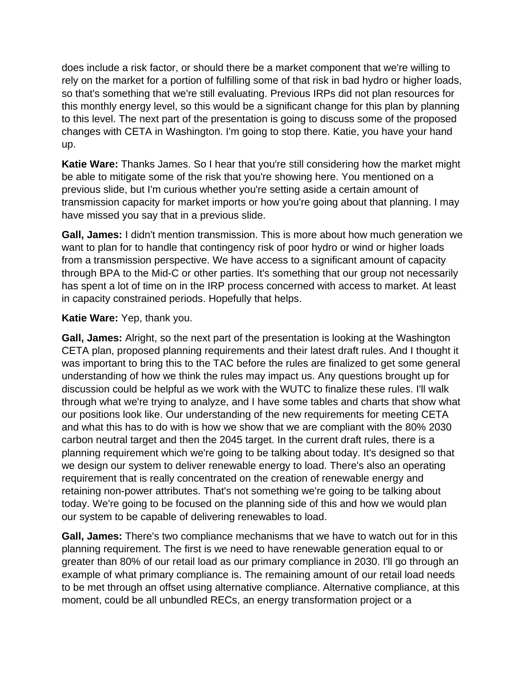does include a risk factor, or should there be a market component that we're willing to rely on the market for a portion of fulfilling some of that risk in bad hydro or higher loads, so that's something that we're still evaluating. Previous IRPs did not plan resources for this monthly energy level, so this would be a significant change for this plan by planning to this level. The next part of the presentation is going to discuss some of the proposed changes with CETA in Washington. I'm going to stop there. Katie, you have your hand up.

**Katie Ware:** Thanks James. So I hear that you're still considering how the market might be able to mitigate some of the risk that you're showing here. You mentioned on a previous slide, but I'm curious whether you're setting aside a certain amount of transmission capacity for market imports or how you're going about that planning. I may have missed you say that in a previous slide.

**Gall, James:** I didn't mention transmission. This is more about how much generation we want to plan for to handle that contingency risk of poor hydro or wind or higher loads from a transmission perspective. We have access to a significant amount of capacity through BPA to the Mid-C or other parties. It's something that our group not necessarily has spent a lot of time on in the IRP process concerned with access to market. At least in capacity constrained periods. Hopefully that helps.

#### **Katie Ware:** Yep, thank you.

**Gall, James:** Alright, so the next part of the presentation is looking at the Washington CETA plan, proposed planning requirements and their latest draft rules. And I thought it was important to bring this to the TAC before the rules are finalized to get some general understanding of how we think the rules may impact us. Any questions brought up for discussion could be helpful as we work with the WUTC to finalize these rules. I'll walk through what we're trying to analyze, and I have some tables and charts that show what our positions look like. Our understanding of the new requirements for meeting CETA and what this has to do with is how we show that we are compliant with the 80% 2030 carbon neutral target and then the 2045 target. In the current draft rules, there is a planning requirement which we're going to be talking about today. It's designed so that we design our system to deliver renewable energy to load. There's also an operating requirement that is really concentrated on the creation of renewable energy and retaining non-power attributes. That's not something we're going to be talking about today. We're going to be focused on the planning side of this and how we would plan our system to be capable of delivering renewables to load.

**Gall, James:** There's two compliance mechanisms that we have to watch out for in this planning requirement. The first is we need to have renewable generation equal to or greater than 80% of our retail load as our primary compliance in 2030. I'll go through an example of what primary compliance is. The remaining amount of our retail load needs to be met through an offset using alternative compliance. Alternative compliance, at this moment, could be all unbundled RECs, an energy transformation project or a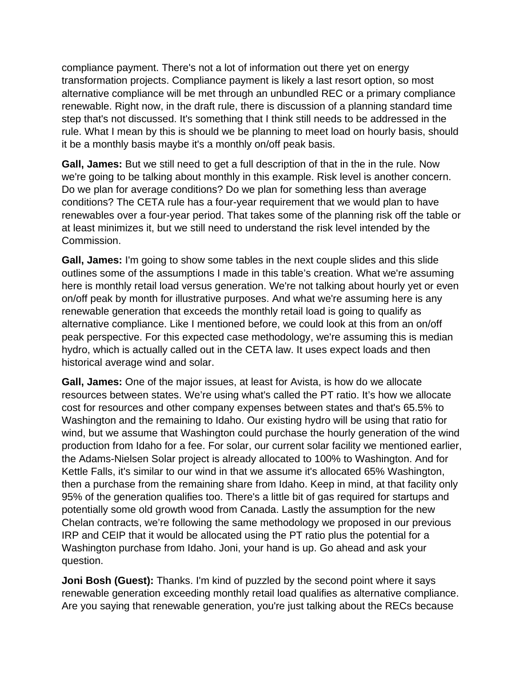compliance payment. There's not a lot of information out there yet on energy transformation projects. Compliance payment is likely a last resort option, so most alternative compliance will be met through an unbundled REC or a primary compliance renewable. Right now, in the draft rule, there is discussion of a planning standard time step that's not discussed. It's something that I think still needs to be addressed in the rule. What I mean by this is should we be planning to meet load on hourly basis, should it be a monthly basis maybe it's a monthly on/off peak basis.

**Gall, James:** But we still need to get a full description of that in the in the rule. Now we're going to be talking about monthly in this example. Risk level is another concern. Do we plan for average conditions? Do we plan for something less than average conditions? The CETA rule has a four-year requirement that we would plan to have renewables over a four-year period. That takes some of the planning risk off the table or at least minimizes it, but we still need to understand the risk level intended by the Commission.

**Gall, James:** I'm going to show some tables in the next couple slides and this slide outlines some of the assumptions I made in this table's creation. What we're assuming here is monthly retail load versus generation. We're not talking about hourly yet or even on/off peak by month for illustrative purposes. And what we're assuming here is any renewable generation that exceeds the monthly retail load is going to qualify as alternative compliance. Like I mentioned before, we could look at this from an on/off peak perspective. For this expected case methodology, we're assuming this is median hydro, which is actually called out in the CETA law. It uses expect loads and then historical average wind and solar.

**Gall, James:** One of the major issues, at least for Avista, is how do we allocate resources between states. We're using what's called the PT ratio. It's how we allocate cost for resources and other company expenses between states and that's 65.5% to Washington and the remaining to Idaho. Our existing hydro will be using that ratio for wind, but we assume that Washington could purchase the hourly generation of the wind production from Idaho for a fee. For solar, our current solar facility we mentioned earlier, the Adams-Nielsen Solar project is already allocated to 100% to Washington. And for Kettle Falls, it's similar to our wind in that we assume it's allocated 65% Washington, then a purchase from the remaining share from Idaho. Keep in mind, at that facility only 95% of the generation qualifies too. There's a little bit of gas required for startups and potentially some old growth wood from Canada. Lastly the assumption for the new Chelan contracts, we're following the same methodology we proposed in our previous IRP and CEIP that it would be allocated using the PT ratio plus the potential for a Washington purchase from Idaho. Joni, your hand is up. Go ahead and ask your question.

**Joni Bosh (Guest):** Thanks. I'm kind of puzzled by the second point where it says renewable generation exceeding monthly retail load qualifies as alternative compliance. Are you saying that renewable generation, you're just talking about the RECs because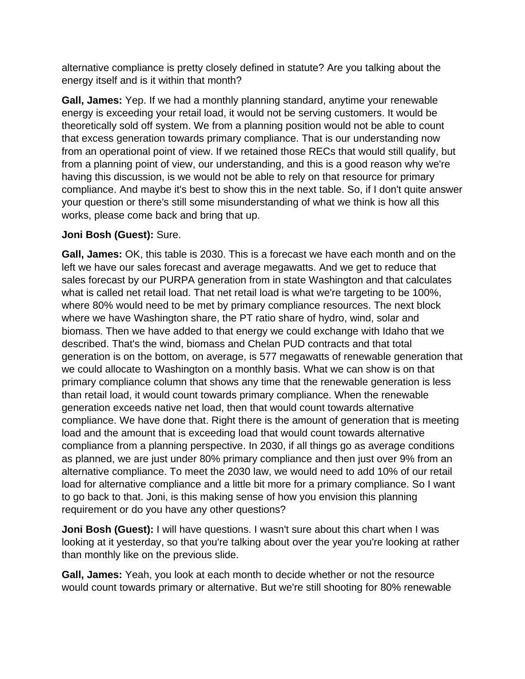alternative compliance is pretty closely defined in statute? Are you talking about the energy itself and is it within that month?

**Gall, James:** Yep. If we had a monthly planning standard, anytime your renewable energy is exceeding your retail load, it would not be serving customers. It would be theoretically sold off system. We from a planning position would not be able to count that excess generation towards primary compliance. That is our understanding now from an operational point of view. If we retained those RECs that would still qualify, but from a planning point of view, our understanding, and this is a good reason why we're having this discussion, is we would not be able to rely on that resource for primary compliance. And maybe it's best to show this in the next table. So, if I don't quite answer your question or there's still some misunderstanding of what we think is how all this works, please come back and bring that up.

## **Joni Bosh (Guest):** Sure.

**Gall, James:** OK, this table is 2030. This is a forecast we have each month and on the left we have our sales forecast and average megawatts. And we get to reduce that sales forecast by our PURPA generation from in state Washington and that calculates what is called net retail load. That net retail load is what we're targeting to be 100%, where 80% would need to be met by primary compliance resources. The next block where we have Washington share, the PT ratio share of hydro, wind, solar and biomass. Then we have added to that energy we could exchange with Idaho that we described. That's the wind, biomass and Chelan PUD contracts and that total generation is on the bottom, on average, is 577 megawatts of renewable generation that we could allocate to Washington on a monthly basis. What we can show is on that primary compliance column that shows any time that the renewable generation is less than retail load, it would count towards primary compliance. When the renewable generation exceeds native net load, then that would count towards alternative compliance. We have done that. Right there is the amount of generation that is meeting load and the amount that is exceeding load that would count towards alternative compliance from a planning perspective. In 2030, if all things go as average conditions as planned, we are just under 80% primary compliance and then just over 9% from an alternative compliance. To meet the 2030 law, we would need to add 10% of our retail load for alternative compliance and a little bit more for a primary compliance. So I want to go back to that. Joni, is this making sense of how you envision this planning requirement or do you have any other questions?

**Joni Bosh (Guest):** I will have questions. I wasn't sure about this chart when I was looking at it yesterday, so that you're talking about over the year you're looking at rather than monthly like on the previous slide.

**Gall, James:** Yeah, you look at each month to decide whether or not the resource would count towards primary or alternative. But we're still shooting for 80% renewable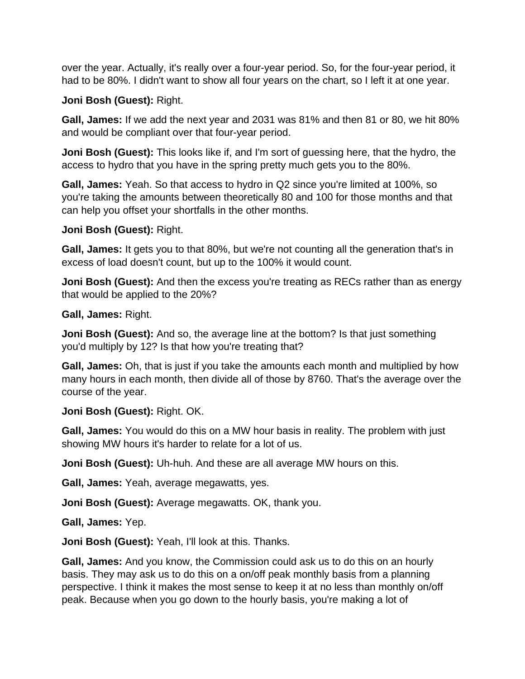over the year. Actually, it's really over a four-year period. So, for the four-year period, it had to be 80%. I didn't want to show all four years on the chart, so I left it at one year.

## **Joni Bosh (Guest):** Right.

**Gall, James:** If we add the next year and 2031 was 81% and then 81 or 80, we hit 80% and would be compliant over that four-year period.

**Joni Bosh (Guest):** This looks like if, and I'm sort of guessing here, that the hydro, the access to hydro that you have in the spring pretty much gets you to the 80%.

**Gall, James:** Yeah. So that access to hydro in Q2 since you're limited at 100%, so you're taking the amounts between theoretically 80 and 100 for those months and that can help you offset your shortfalls in the other months.

### **Joni Bosh (Guest):** Right.

**Gall, James:** It gets you to that 80%, but we're not counting all the generation that's in excess of load doesn't count, but up to the 100% it would count.

**Joni Bosh (Guest):** And then the excess you're treating as RECs rather than as energy that would be applied to the 20%?

**Gall, James:** Right.

**Joni Bosh (Guest):** And so, the average line at the bottom? Is that just something you'd multiply by 12? Is that how you're treating that?

**Gall, James:** Oh, that is just if you take the amounts each month and multiplied by how many hours in each month, then divide all of those by 8760. That's the average over the course of the year.

## **Joni Bosh (Guest):** Right. OK.

**Gall, James:** You would do this on a MW hour basis in reality. The problem with just showing MW hours it's harder to relate for a lot of us.

**Joni Bosh (Guest):** Uh-huh. And these are all average MW hours on this.

**Gall, James:** Yeah, average megawatts, yes.

**Joni Bosh (Guest):** Average megawatts. OK, thank you.

**Gall, James:** Yep.

**Joni Bosh (Guest):** Yeah, I'll look at this. Thanks.

**Gall, James:** And you know, the Commission could ask us to do this on an hourly basis. They may ask us to do this on a on/off peak monthly basis from a planning perspective. I think it makes the most sense to keep it at no less than monthly on/off peak. Because when you go down to the hourly basis, you're making a lot of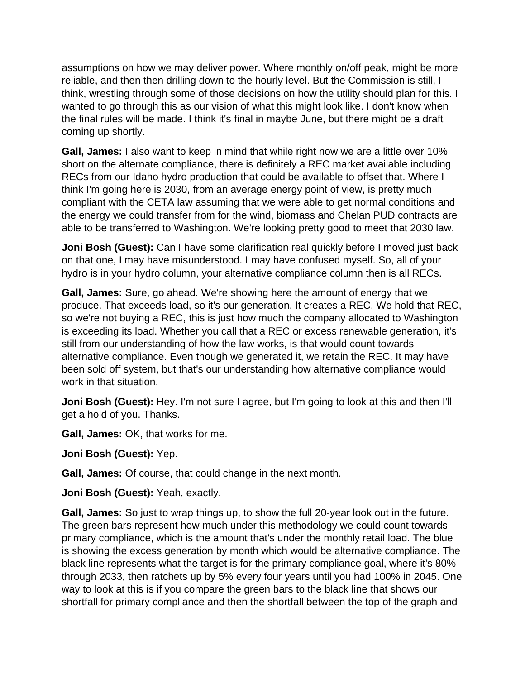assumptions on how we may deliver power. Where monthly on/off peak, might be more reliable, and then then drilling down to the hourly level. But the Commission is still, I think, wrestling through some of those decisions on how the utility should plan for this. I wanted to go through this as our vision of what this might look like. I don't know when the final rules will be made. I think it's final in maybe June, but there might be a draft coming up shortly.

**Gall, James:** I also want to keep in mind that while right now we are a little over 10% short on the alternate compliance, there is definitely a REC market available including RECs from our Idaho hydro production that could be available to offset that. Where I think I'm going here is 2030, from an average energy point of view, is pretty much compliant with the CETA law assuming that we were able to get normal conditions and the energy we could transfer from for the wind, biomass and Chelan PUD contracts are able to be transferred to Washington. We're looking pretty good to meet that 2030 law.

**Joni Bosh (Guest):** Can I have some clarification real quickly before I moved just back on that one, I may have misunderstood. I may have confused myself. So, all of your hydro is in your hydro column, your alternative compliance column then is all RECs.

**Gall, James:** Sure, go ahead. We're showing here the amount of energy that we produce. That exceeds load, so it's our generation. It creates a REC. We hold that REC, so we're not buying a REC, this is just how much the company allocated to Washington is exceeding its load. Whether you call that a REC or excess renewable generation, it's still from our understanding of how the law works, is that would count towards alternative compliance. Even though we generated it, we retain the REC. It may have been sold off system, but that's our understanding how alternative compliance would work in that situation.

**Joni Bosh (Guest):** Hey. I'm not sure I agree, but I'm going to look at this and then I'll get a hold of you. Thanks.

**Gall, James:** OK, that works for me.

**Joni Bosh (Guest):** Yep.

**Gall, James:** Of course, that could change in the next month.

**Joni Bosh (Guest):** Yeah, exactly.

**Gall, James:** So just to wrap things up, to show the full 20-year look out in the future. The green bars represent how much under this methodology we could count towards primary compliance, which is the amount that's under the monthly retail load. The blue is showing the excess generation by month which would be alternative compliance. The black line represents what the target is for the primary compliance goal, where it's 80% through 2033, then ratchets up by 5% every four years until you had 100% in 2045. One way to look at this is if you compare the green bars to the black line that shows our shortfall for primary compliance and then the shortfall between the top of the graph and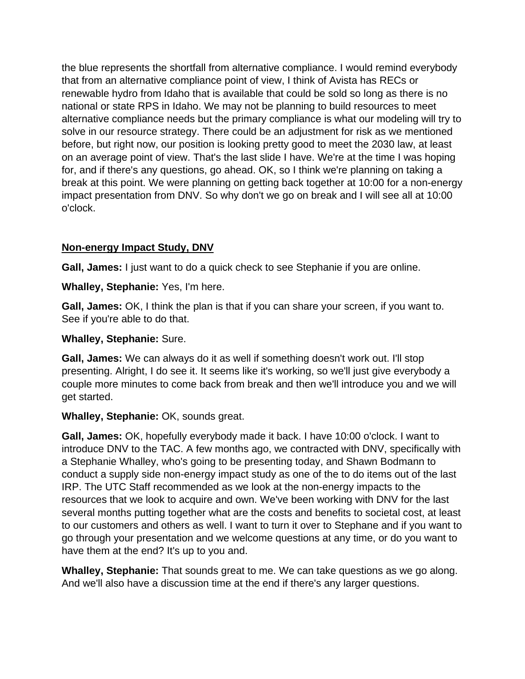the blue represents the shortfall from alternative compliance. I would remind everybody that from an alternative compliance point of view, I think of Avista has RECs or renewable hydro from Idaho that is available that could be sold so long as there is no national or state RPS in Idaho. We may not be planning to build resources to meet alternative compliance needs but the primary compliance is what our modeling will try to solve in our resource strategy. There could be an adjustment for risk as we mentioned before, but right now, our position is looking pretty good to meet the 2030 law, at least on an average point of view. That's the last slide I have. We're at the time I was hoping for, and if there's any questions, go ahead. OK, so I think we're planning on taking a break at this point. We were planning on getting back together at 10:00 for a non-energy impact presentation from DNV. So why don't we go on break and I will see all at 10:00 o'clock.

# **Non-energy Impact Study, DNV**

**Gall, James:** I just want to do a quick check to see Stephanie if you are online.

**Whalley, Stephanie:** Yes, I'm here.

**Gall, James:** OK, I think the plan is that if you can share your screen, if you want to. See if you're able to do that.

### **Whalley, Stephanie:** Sure.

**Gall, James:** We can always do it as well if something doesn't work out. I'll stop presenting. Alright, I do see it. It seems like it's working, so we'll just give everybody a couple more minutes to come back from break and then we'll introduce you and we will get started.

## **Whalley, Stephanie:** OK, sounds great.

**Gall, James:** OK, hopefully everybody made it back. I have 10:00 o'clock. I want to introduce DNV to the TAC. A few months ago, we contracted with DNV, specifically with a Stephanie Whalley, who's going to be presenting today, and Shawn Bodmann to conduct a supply side non-energy impact study as one of the to do items out of the last IRP. The UTC Staff recommended as we look at the non-energy impacts to the resources that we look to acquire and own. We've been working with DNV for the last several months putting together what are the costs and benefits to societal cost, at least to our customers and others as well. I want to turn it over to Stephane and if you want to go through your presentation and we welcome questions at any time, or do you want to have them at the end? It's up to you and.

**Whalley, Stephanie:** That sounds great to me. We can take questions as we go along. And we'll also have a discussion time at the end if there's any larger questions.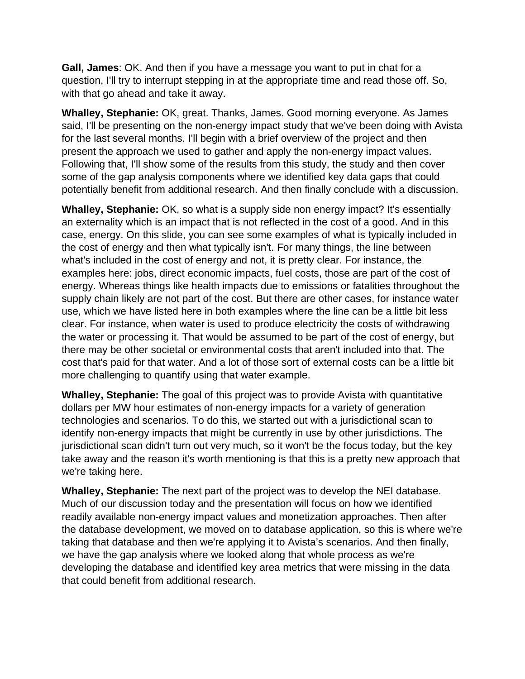**Gall, James**: OK. And then if you have a message you want to put in chat for a question, I'll try to interrupt stepping in at the appropriate time and read those off. So, with that go ahead and take it away.

**Whalley, Stephanie:** OK, great. Thanks, James. Good morning everyone. As James said, I'll be presenting on the non-energy impact study that we've been doing with Avista for the last several months. I'll begin with a brief overview of the project and then present the approach we used to gather and apply the non-energy impact values. Following that, I'll show some of the results from this study, the study and then cover some of the gap analysis components where we identified key data gaps that could potentially benefit from additional research. And then finally conclude with a discussion.

**Whalley, Stephanie:** OK, so what is a supply side non energy impact? It's essentially an externality which is an impact that is not reflected in the cost of a good. And in this case, energy. On this slide, you can see some examples of what is typically included in the cost of energy and then what typically isn't. For many things, the line between what's included in the cost of energy and not, it is pretty clear. For instance, the examples here: jobs, direct economic impacts, fuel costs, those are part of the cost of energy. Whereas things like health impacts due to emissions or fatalities throughout the supply chain likely are not part of the cost. But there are other cases, for instance water use, which we have listed here in both examples where the line can be a little bit less clear. For instance, when water is used to produce electricity the costs of withdrawing the water or processing it. That would be assumed to be part of the cost of energy, but there may be other societal or environmental costs that aren't included into that. The cost that's paid for that water. And a lot of those sort of external costs can be a little bit more challenging to quantify using that water example.

**Whalley, Stephanie:** The goal of this project was to provide Avista with quantitative dollars per MW hour estimates of non-energy impacts for a variety of generation technologies and scenarios. To do this, we started out with a jurisdictional scan to identify non-energy impacts that might be currently in use by other jurisdictions. The jurisdictional scan didn't turn out very much, so it won't be the focus today, but the key take away and the reason it's worth mentioning is that this is a pretty new approach that we're taking here.

**Whalley, Stephanie:** The next part of the project was to develop the NEI database. Much of our discussion today and the presentation will focus on how we identified readily available non-energy impact values and monetization approaches. Then after the database development, we moved on to database application, so this is where we're taking that database and then we're applying it to Avista's scenarios. And then finally, we have the gap analysis where we looked along that whole process as we're developing the database and identified key area metrics that were missing in the data that could benefit from additional research.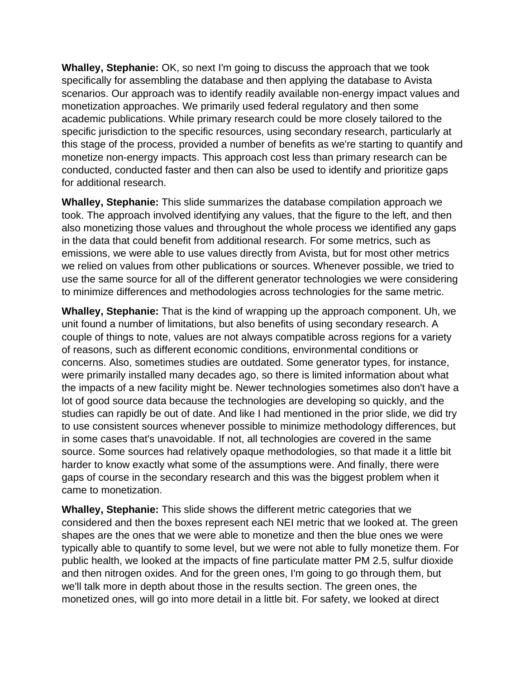**Whalley, Stephanie:** OK, so next I'm going to discuss the approach that we took specifically for assembling the database and then applying the database to Avista scenarios. Our approach was to identify readily available non-energy impact values and monetization approaches. We primarily used federal regulatory and then some academic publications. While primary research could be more closely tailored to the specific jurisdiction to the specific resources, using secondary research, particularly at this stage of the process, provided a number of benefits as we're starting to quantify and monetize non-energy impacts. This approach cost less than primary research can be conducted, conducted faster and then can also be used to identify and prioritize gaps for additional research.

**Whalley, Stephanie:** This slide summarizes the database compilation approach we took. The approach involved identifying any values, that the figure to the left, and then also monetizing those values and throughout the whole process we identified any gaps in the data that could benefit from additional research. For some metrics, such as emissions, we were able to use values directly from Avista, but for most other metrics we relied on values from other publications or sources. Whenever possible, we tried to use the same source for all of the different generator technologies we were considering to minimize differences and methodologies across technologies for the same metric.

**Whalley, Stephanie:** That is the kind of wrapping up the approach component. Uh, we unit found a number of limitations, but also benefits of using secondary research. A couple of things to note, values are not always compatible across regions for a variety of reasons, such as different economic conditions, environmental conditions or concerns. Also, sometimes studies are outdated. Some generator types, for instance, were primarily installed many decades ago, so there is limited information about what the impacts of a new facility might be. Newer technologies sometimes also don't have a lot of good source data because the technologies are developing so quickly, and the studies can rapidly be out of date. And like I had mentioned in the prior slide, we did try to use consistent sources whenever possible to minimize methodology differences, but in some cases that's unavoidable. If not, all technologies are covered in the same source. Some sources had relatively opaque methodologies, so that made it a little bit harder to know exactly what some of the assumptions were. And finally, there were gaps of course in the secondary research and this was the biggest problem when it came to monetization.

**Whalley, Stephanie:** This slide shows the different metric categories that we considered and then the boxes represent each NEI metric that we looked at. The green shapes are the ones that we were able to monetize and then the blue ones we were typically able to quantify to some level, but we were not able to fully monetize them. For public health, we looked at the impacts of fine particulate matter PM 2.5, sulfur dioxide and then nitrogen oxides. And for the green ones, I'm going to go through them, but we'll talk more in depth about those in the results section. The green ones, the monetized ones, will go into more detail in a little bit. For safety, we looked at direct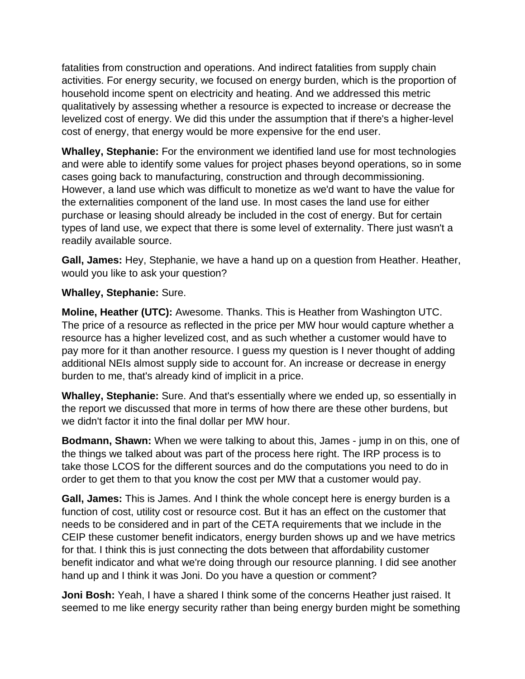fatalities from construction and operations. And indirect fatalities from supply chain activities. For energy security, we focused on energy burden, which is the proportion of household income spent on electricity and heating. And we addressed this metric qualitatively by assessing whether a resource is expected to increase or decrease the levelized cost of energy. We did this under the assumption that if there's a higher-level cost of energy, that energy would be more expensive for the end user.

**Whalley, Stephanie:** For the environment we identified land use for most technologies and were able to identify some values for project phases beyond operations, so in some cases going back to manufacturing, construction and through decommissioning. However, a land use which was difficult to monetize as we'd want to have the value for the externalities component of the land use. In most cases the land use for either purchase or leasing should already be included in the cost of energy. But for certain types of land use, we expect that there is some level of externality. There just wasn't a readily available source.

**Gall, James:** Hey, Stephanie, we have a hand up on a question from Heather. Heather, would you like to ask your question?

### **Whalley, Stephanie:** Sure.

**Moline, Heather (UTC):** Awesome. Thanks. This is Heather from Washington UTC. The price of a resource as reflected in the price per MW hour would capture whether a resource has a higher levelized cost, and as such whether a customer would have to pay more for it than another resource. I guess my question is I never thought of adding additional NEIs almost supply side to account for. An increase or decrease in energy burden to me, that's already kind of implicit in a price.

**Whalley, Stephanie:** Sure. And that's essentially where we ended up, so essentially in the report we discussed that more in terms of how there are these other burdens, but we didn't factor it into the final dollar per MW hour.

**Bodmann, Shawn:** When we were talking to about this, James - jump in on this, one of the things we talked about was part of the process here right. The IRP process is to take those LCOS for the different sources and do the computations you need to do in order to get them to that you know the cost per MW that a customer would pay.

**Gall, James:** This is James. And I think the whole concept here is energy burden is a function of cost, utility cost or resource cost. But it has an effect on the customer that needs to be considered and in part of the CETA requirements that we include in the CEIP these customer benefit indicators, energy burden shows up and we have metrics for that. I think this is just connecting the dots between that affordability customer benefit indicator and what we're doing through our resource planning. I did see another hand up and I think it was Joni. Do you have a question or comment?

**Joni Bosh:** Yeah, I have a shared I think some of the concerns Heather just raised. It seemed to me like energy security rather than being energy burden might be something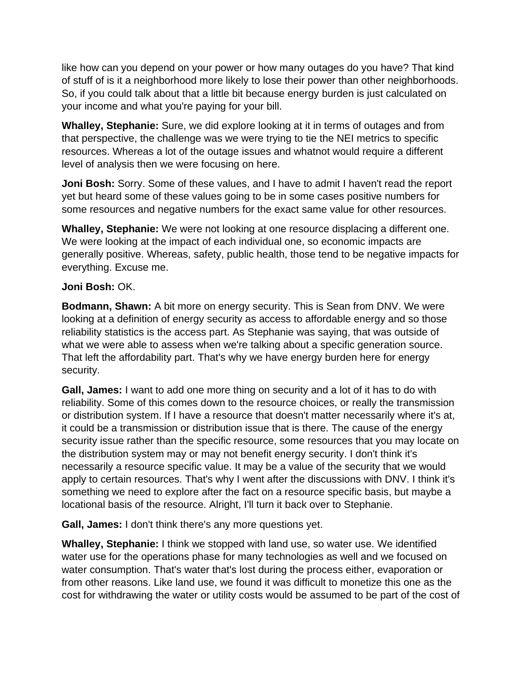like how can you depend on your power or how many outages do you have? That kind of stuff of is it a neighborhood more likely to lose their power than other neighborhoods. So, if you could talk about that a little bit because energy burden is just calculated on your income and what you're paying for your bill.

**Whalley, Stephanie:** Sure, we did explore looking at it in terms of outages and from that perspective, the challenge was we were trying to tie the NEI metrics to specific resources. Whereas a lot of the outage issues and whatnot would require a different level of analysis then we were focusing on here.

**Joni Bosh:** Sorry. Some of these values, and I have to admit I haven't read the report yet but heard some of these values going to be in some cases positive numbers for some resources and negative numbers for the exact same value for other resources.

**Whalley, Stephanie:** We were not looking at one resource displacing a different one. We were looking at the impact of each individual one, so economic impacts are generally positive. Whereas, safety, public health, those tend to be negative impacts for everything. Excuse me.

### **Joni Bosh:** OK.

**Bodmann, Shawn:** A bit more on energy security. This is Sean from DNV. We were looking at a definition of energy security as access to affordable energy and so those reliability statistics is the access part. As Stephanie was saying, that was outside of what we were able to assess when we're talking about a specific generation source. That left the affordability part. That's why we have energy burden here for energy security.

**Gall, James:** I want to add one more thing on security and a lot of it has to do with reliability. Some of this comes down to the resource choices, or really the transmission or distribution system. If I have a resource that doesn't matter necessarily where it's at, it could be a transmission or distribution issue that is there. The cause of the energy security issue rather than the specific resource, some resources that you may locate on the distribution system may or may not benefit energy security. I don't think it's necessarily a resource specific value. It may be a value of the security that we would apply to certain resources. That's why I went after the discussions with DNV. I think it's something we need to explore after the fact on a resource specific basis, but maybe a locational basis of the resource. Alright, I'll turn it back over to Stephanie.

**Gall, James:** I don't think there's any more questions yet.

**Whalley, Stephanie:** I think we stopped with land use, so water use. We identified water use for the operations phase for many technologies as well and we focused on water consumption. That's water that's lost during the process either, evaporation or from other reasons. Like land use, we found it was difficult to monetize this one as the cost for withdrawing the water or utility costs would be assumed to be part of the cost of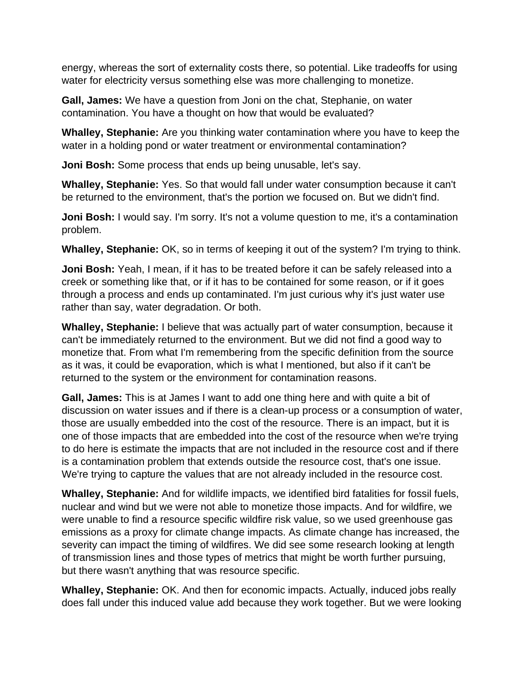energy, whereas the sort of externality costs there, so potential. Like tradeoffs for using water for electricity versus something else was more challenging to monetize.

**Gall, James:** We have a question from Joni on the chat, Stephanie, on water contamination. You have a thought on how that would be evaluated?

**Whalley, Stephanie:** Are you thinking water contamination where you have to keep the water in a holding pond or water treatment or environmental contamination?

**Joni Bosh:** Some process that ends up being unusable, let's say.

**Whalley, Stephanie:** Yes. So that would fall under water consumption because it can't be returned to the environment, that's the portion we focused on. But we didn't find.

**Joni Bosh:** I would say. I'm sorry. It's not a volume question to me, it's a contamination problem.

**Whalley, Stephanie:** OK, so in terms of keeping it out of the system? I'm trying to think.

**Joni Bosh:** Yeah, I mean, if it has to be treated before it can be safely released into a creek or something like that, or if it has to be contained for some reason, or if it goes through a process and ends up contaminated. I'm just curious why it's just water use rather than say, water degradation. Or both.

**Whalley, Stephanie:** I believe that was actually part of water consumption, because it can't be immediately returned to the environment. But we did not find a good way to monetize that. From what I'm remembering from the specific definition from the source as it was, it could be evaporation, which is what I mentioned, but also if it can't be returned to the system or the environment for contamination reasons.

**Gall, James:** This is at James I want to add one thing here and with quite a bit of discussion on water issues and if there is a clean-up process or a consumption of water, those are usually embedded into the cost of the resource. There is an impact, but it is one of those impacts that are embedded into the cost of the resource when we're trying to do here is estimate the impacts that are not included in the resource cost and if there is a contamination problem that extends outside the resource cost, that's one issue. We're trying to capture the values that are not already included in the resource cost.

**Whalley, Stephanie:** And for wildlife impacts, we identified bird fatalities for fossil fuels, nuclear and wind but we were not able to monetize those impacts. And for wildfire, we were unable to find a resource specific wildfire risk value, so we used greenhouse gas emissions as a proxy for climate change impacts. As climate change has increased, the severity can impact the timing of wildfires. We did see some research looking at length of transmission lines and those types of metrics that might be worth further pursuing, but there wasn't anything that was resource specific.

**Whalley, Stephanie:** OK. And then for economic impacts. Actually, induced jobs really does fall under this induced value add because they work together. But we were looking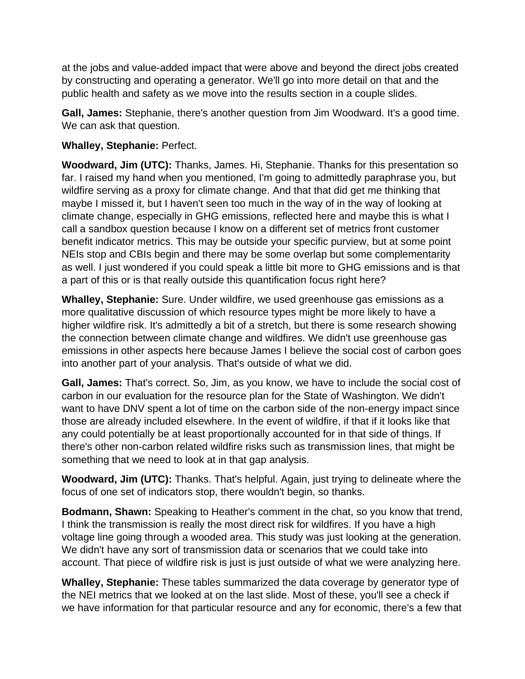at the jobs and value-added impact that were above and beyond the direct jobs created by constructing and operating a generator. We'll go into more detail on that and the public health and safety as we move into the results section in a couple slides.

**Gall, James:** Stephanie, there's another question from Jim Woodward. It's a good time. We can ask that question.

## **Whalley, Stephanie:** Perfect.

**Woodward, Jim (UTC):** Thanks, James. Hi, Stephanie. Thanks for this presentation so far. I raised my hand when you mentioned, I'm going to admittedly paraphrase you, but wildfire serving as a proxy for climate change. And that that did get me thinking that maybe I missed it, but I haven't seen too much in the way of in the way of looking at climate change, especially in GHG emissions, reflected here and maybe this is what I call a sandbox question because I know on a different set of metrics front customer benefit indicator metrics. This may be outside your specific purview, but at some point NEIs stop and CBIs begin and there may be some overlap but some complementarity as well. I just wondered if you could speak a little bit more to GHG emissions and is that a part of this or is that really outside this quantification focus right here?

**Whalley, Stephanie:** Sure. Under wildfire, we used greenhouse gas emissions as a more qualitative discussion of which resource types might be more likely to have a higher wildfire risk. It's admittedly a bit of a stretch, but there is some research showing the connection between climate change and wildfires. We didn't use greenhouse gas emissions in other aspects here because James I believe the social cost of carbon goes into another part of your analysis. That's outside of what we did.

**Gall, James:** That's correct. So, Jim, as you know, we have to include the social cost of carbon in our evaluation for the resource plan for the State of Washington. We didn't want to have DNV spent a lot of time on the carbon side of the non-energy impact since those are already included elsewhere. In the event of wildfire, if that if it looks like that any could potentially be at least proportionally accounted for in that side of things. If there's other non-carbon related wildfire risks such as transmission lines, that might be something that we need to look at in that gap analysis.

**Woodward, Jim (UTC):** Thanks. That's helpful. Again, just trying to delineate where the focus of one set of indicators stop, there wouldn't begin, so thanks.

**Bodmann, Shawn:** Speaking to Heather's comment in the chat, so you know that trend, I think the transmission is really the most direct risk for wildfires. If you have a high voltage line going through a wooded area. This study was just looking at the generation. We didn't have any sort of transmission data or scenarios that we could take into account. That piece of wildfire risk is just is just outside of what we were analyzing here.

**Whalley, Stephanie:** These tables summarized the data coverage by generator type of the NEI metrics that we looked at on the last slide. Most of these, you'll see a check if we have information for that particular resource and any for economic, there's a few that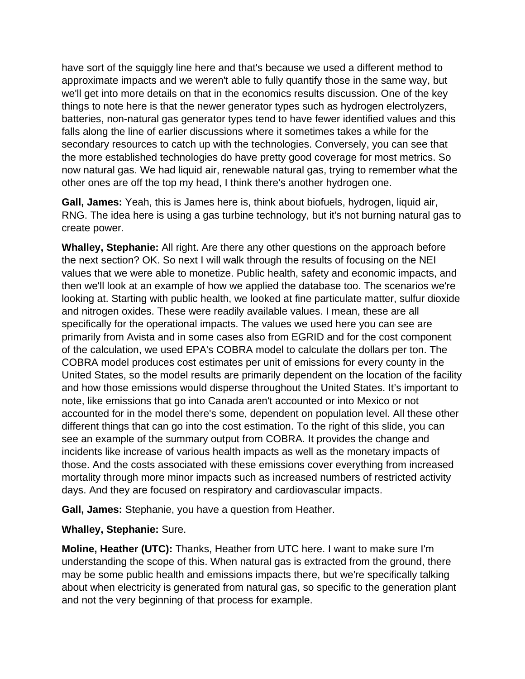have sort of the squiggly line here and that's because we used a different method to approximate impacts and we weren't able to fully quantify those in the same way, but we'll get into more details on that in the economics results discussion. One of the key things to note here is that the newer generator types such as hydrogen electrolyzers, batteries, non-natural gas generator types tend to have fewer identified values and this falls along the line of earlier discussions where it sometimes takes a while for the secondary resources to catch up with the technologies. Conversely, you can see that the more established technologies do have pretty good coverage for most metrics. So now natural gas. We had liquid air, renewable natural gas, trying to remember what the other ones are off the top my head, I think there's another hydrogen one.

**Gall, James:** Yeah, this is James here is, think about biofuels, hydrogen, liquid air, RNG. The idea here is using a gas turbine technology, but it's not burning natural gas to create power.

**Whalley, Stephanie:** All right. Are there any other questions on the approach before the next section? OK. So next I will walk through the results of focusing on the NEI values that we were able to monetize. Public health, safety and economic impacts, and then we'll look at an example of how we applied the database too. The scenarios we're looking at. Starting with public health, we looked at fine particulate matter, sulfur dioxide and nitrogen oxides. These were readily available values. I mean, these are all specifically for the operational impacts. The values we used here you can see are primarily from Avista and in some cases also from EGRID and for the cost component of the calculation, we used EPA's COBRA model to calculate the dollars per ton. The COBRA model produces cost estimates per unit of emissions for every county in the United States, so the model results are primarily dependent on the location of the facility and how those emissions would disperse throughout the United States. It's important to note, like emissions that go into Canada aren't accounted or into Mexico or not accounted for in the model there's some, dependent on population level. All these other different things that can go into the cost estimation. To the right of this slide, you can see an example of the summary output from COBRA. It provides the change and incidents like increase of various health impacts as well as the monetary impacts of those. And the costs associated with these emissions cover everything from increased mortality through more minor impacts such as increased numbers of restricted activity days. And they are focused on respiratory and cardiovascular impacts.

**Gall, James:** Stephanie, you have a question from Heather.

#### **Whalley, Stephanie:** Sure.

**Moline, Heather (UTC):** Thanks, Heather from UTC here. I want to make sure I'm understanding the scope of this. When natural gas is extracted from the ground, there may be some public health and emissions impacts there, but we're specifically talking about when electricity is generated from natural gas, so specific to the generation plant and not the very beginning of that process for example.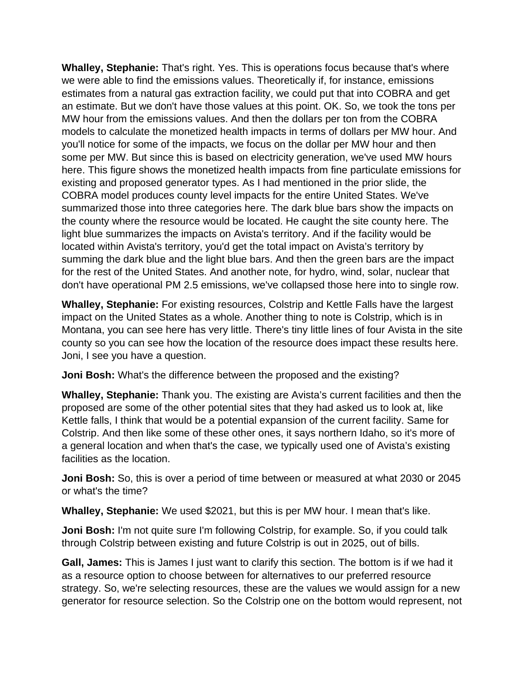**Whalley, Stephanie:** That's right. Yes. This is operations focus because that's where we were able to find the emissions values. Theoretically if, for instance, emissions estimates from a natural gas extraction facility, we could put that into COBRA and get an estimate. But we don't have those values at this point. OK. So, we took the tons per MW hour from the emissions values. And then the dollars per ton from the COBRA models to calculate the monetized health impacts in terms of dollars per MW hour. And you'll notice for some of the impacts, we focus on the dollar per MW hour and then some per MW. But since this is based on electricity generation, we've used MW hours here. This figure shows the monetized health impacts from fine particulate emissions for existing and proposed generator types. As I had mentioned in the prior slide, the COBRA model produces county level impacts for the entire United States. We've summarized those into three categories here. The dark blue bars show the impacts on the county where the resource would be located. He caught the site county here. The light blue summarizes the impacts on Avista's territory. And if the facility would be located within Avista's territory, you'd get the total impact on Avista's territory by summing the dark blue and the light blue bars. And then the green bars are the impact for the rest of the United States. And another note, for hydro, wind, solar, nuclear that don't have operational PM 2.5 emissions, we've collapsed those here into to single row.

**Whalley, Stephanie:** For existing resources, Colstrip and Kettle Falls have the largest impact on the United States as a whole. Another thing to note is Colstrip, which is in Montana, you can see here has very little. There's tiny little lines of four Avista in the site county so you can see how the location of the resource does impact these results here. Joni, I see you have a question.

**Joni Bosh:** What's the difference between the proposed and the existing?

**Whalley, Stephanie:** Thank you. The existing are Avista's current facilities and then the proposed are some of the other potential sites that they had asked us to look at, like Kettle falls, I think that would be a potential expansion of the current facility. Same for Colstrip. And then like some of these other ones, it says northern Idaho, so it's more of a general location and when that's the case, we typically used one of Avista's existing facilities as the location.

**Joni Bosh:** So, this is over a period of time between or measured at what 2030 or 2045 or what's the time?

**Whalley, Stephanie:** We used \$2021, but this is per MW hour. I mean that's like.

**Joni Bosh:** I'm not quite sure I'm following Colstrip, for example. So, if you could talk through Colstrip between existing and future Colstrip is out in 2025, out of bills.

**Gall, James:** This is James I just want to clarify this section. The bottom is if we had it as a resource option to choose between for alternatives to our preferred resource strategy. So, we're selecting resources, these are the values we would assign for a new generator for resource selection. So the Colstrip one on the bottom would represent, not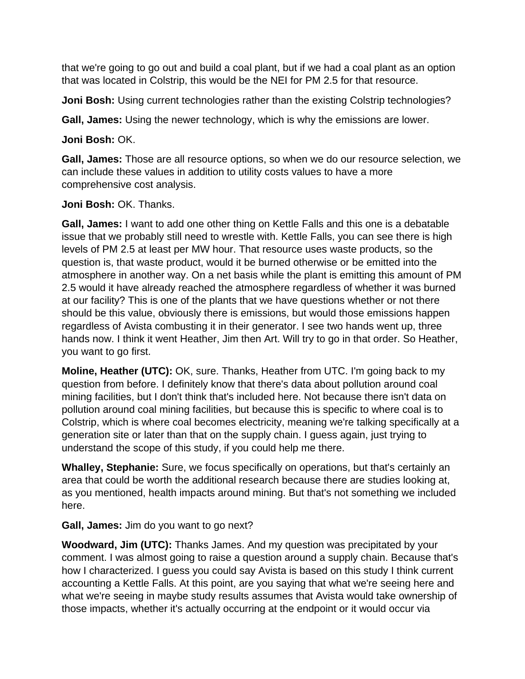that we're going to go out and build a coal plant, but if we had a coal plant as an option that was located in Colstrip, this would be the NEI for PM 2.5 for that resource.

**Joni Bosh:** Using current technologies rather than the existing Colstrip technologies?

**Gall, James:** Using the newer technology, which is why the emissions are lower.

**Joni Bosh:** OK.

**Gall, James:** Those are all resource options, so when we do our resource selection, we can include these values in addition to utility costs values to have a more comprehensive cost analysis.

# **Joni Bosh:** OK. Thanks.

**Gall, James:** I want to add one other thing on Kettle Falls and this one is a debatable issue that we probably still need to wrestle with. Kettle Falls, you can see there is high levels of PM 2.5 at least per MW hour. That resource uses waste products, so the question is, that waste product, would it be burned otherwise or be emitted into the atmosphere in another way. On a net basis while the plant is emitting this amount of PM 2.5 would it have already reached the atmosphere regardless of whether it was burned at our facility? This is one of the plants that we have questions whether or not there should be this value, obviously there is emissions, but would those emissions happen regardless of Avista combusting it in their generator. I see two hands went up, three hands now. I think it went Heather, Jim then Art. Will try to go in that order. So Heather, you want to go first.

**Moline, Heather (UTC):** OK, sure. Thanks, Heather from UTC. I'm going back to my question from before. I definitely know that there's data about pollution around coal mining facilities, but I don't think that's included here. Not because there isn't data on pollution around coal mining facilities, but because this is specific to where coal is to Colstrip, which is where coal becomes electricity, meaning we're talking specifically at a generation site or later than that on the supply chain. I guess again, just trying to understand the scope of this study, if you could help me there.

**Whalley, Stephanie:** Sure, we focus specifically on operations, but that's certainly an area that could be worth the additional research because there are studies looking at, as you mentioned, health impacts around mining. But that's not something we included here.

**Gall, James:** Jim do you want to go next?

**Woodward, Jim (UTC):** Thanks James. And my question was precipitated by your comment. I was almost going to raise a question around a supply chain. Because that's how I characterized. I guess you could say Avista is based on this study I think current accounting a Kettle Falls. At this point, are you saying that what we're seeing here and what we're seeing in maybe study results assumes that Avista would take ownership of those impacts, whether it's actually occurring at the endpoint or it would occur via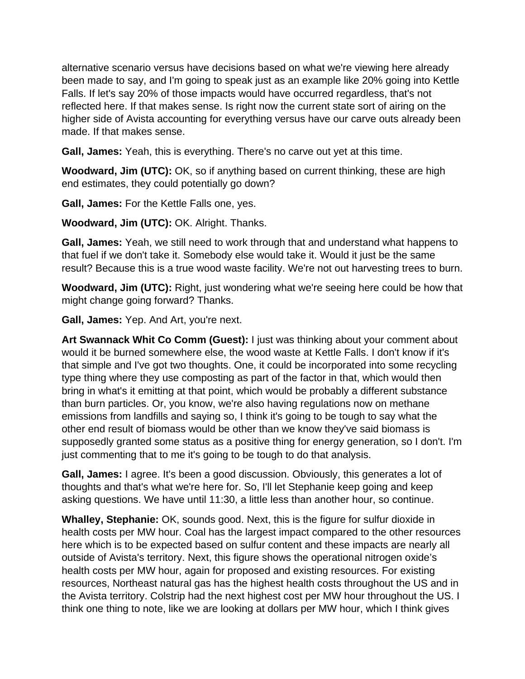alternative scenario versus have decisions based on what we're viewing here already been made to say, and I'm going to speak just as an example like 20% going into Kettle Falls. If let's say 20% of those impacts would have occurred regardless, that's not reflected here. If that makes sense. Is right now the current state sort of airing on the higher side of Avista accounting for everything versus have our carve outs already been made. If that makes sense.

**Gall, James:** Yeah, this is everything. There's no carve out yet at this time.

**Woodward, Jim (UTC):** OK, so if anything based on current thinking, these are high end estimates, they could potentially go down?

**Gall, James:** For the Kettle Falls one, yes.

**Woodward, Jim (UTC):** OK. Alright. Thanks.

**Gall, James:** Yeah, we still need to work through that and understand what happens to that fuel if we don't take it. Somebody else would take it. Would it just be the same result? Because this is a true wood waste facility. We're not out harvesting trees to burn.

**Woodward, Jim (UTC):** Right, just wondering what we're seeing here could be how that might change going forward? Thanks.

**Gall, James:** Yep. And Art, you're next.

**Art Swannack Whit Co Comm (Guest):** I just was thinking about your comment about would it be burned somewhere else, the wood waste at Kettle Falls. I don't know if it's that simple and I've got two thoughts. One, it could be incorporated into some recycling type thing where they use composting as part of the factor in that, which would then bring in what's it emitting at that point, which would be probably a different substance than burn particles. Or, you know, we're also having regulations now on methane emissions from landfills and saying so, I think it's going to be tough to say what the other end result of biomass would be other than we know they've said biomass is supposedly granted some status as a positive thing for energy generation, so I don't. I'm just commenting that to me it's going to be tough to do that analysis.

**Gall, James:** I agree. It's been a good discussion. Obviously, this generates a lot of thoughts and that's what we're here for. So, I'll let Stephanie keep going and keep asking questions. We have until 11:30, a little less than another hour, so continue.

**Whalley, Stephanie:** OK, sounds good. Next, this is the figure for sulfur dioxide in health costs per MW hour. Coal has the largest impact compared to the other resources here which is to be expected based on sulfur content and these impacts are nearly all outside of Avista's territory. Next, this figure shows the operational nitrogen oxide's health costs per MW hour, again for proposed and existing resources. For existing resources, Northeast natural gas has the highest health costs throughout the US and in the Avista territory. Colstrip had the next highest cost per MW hour throughout the US. I think one thing to note, like we are looking at dollars per MW hour, which I think gives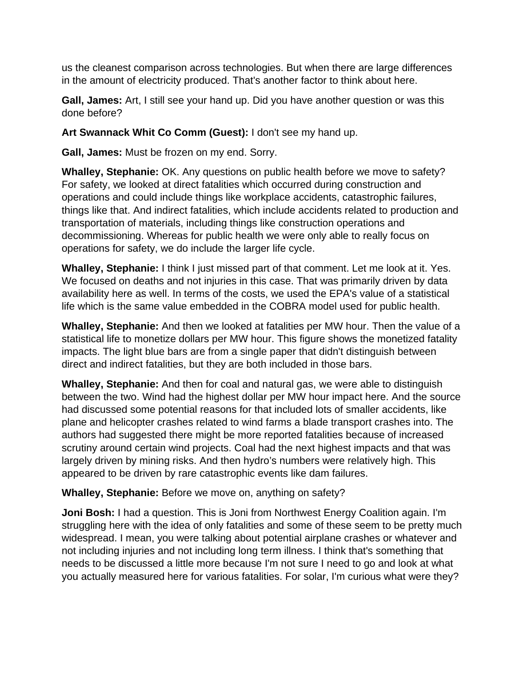us the cleanest comparison across technologies. But when there are large differences in the amount of electricity produced. That's another factor to think about here.

**Gall, James:** Art, I still see your hand up. Did you have another question or was this done before?

## **Art Swannack Whit Co Comm (Guest):** I don't see my hand up.

**Gall, James:** Must be frozen on my end. Sorry.

**Whalley, Stephanie:** OK. Any questions on public health before we move to safety? For safety, we looked at direct fatalities which occurred during construction and operations and could include things like workplace accidents, catastrophic failures, things like that. And indirect fatalities, which include accidents related to production and transportation of materials, including things like construction operations and decommissioning. Whereas for public health we were only able to really focus on operations for safety, we do include the larger life cycle.

**Whalley, Stephanie:** I think I just missed part of that comment. Let me look at it. Yes. We focused on deaths and not injuries in this case. That was primarily driven by data availability here as well. In terms of the costs, we used the EPA's value of a statistical life which is the same value embedded in the COBRA model used for public health.

**Whalley, Stephanie:** And then we looked at fatalities per MW hour. Then the value of a statistical life to monetize dollars per MW hour. This figure shows the monetized fatality impacts. The light blue bars are from a single paper that didn't distinguish between direct and indirect fatalities, but they are both included in those bars.

**Whalley, Stephanie:** And then for coal and natural gas, we were able to distinguish between the two. Wind had the highest dollar per MW hour impact here. And the source had discussed some potential reasons for that included lots of smaller accidents, like plane and helicopter crashes related to wind farms a blade transport crashes into. The authors had suggested there might be more reported fatalities because of increased scrutiny around certain wind projects. Coal had the next highest impacts and that was largely driven by mining risks. And then hydro's numbers were relatively high. This appeared to be driven by rare catastrophic events like dam failures.

**Whalley, Stephanie:** Before we move on, anything on safety?

**Joni Bosh:** I had a question. This is Joni from Northwest Energy Coalition again. I'm struggling here with the idea of only fatalities and some of these seem to be pretty much widespread. I mean, you were talking about potential airplane crashes or whatever and not including injuries and not including long term illness. I think that's something that needs to be discussed a little more because I'm not sure I need to go and look at what you actually measured here for various fatalities. For solar, I'm curious what were they?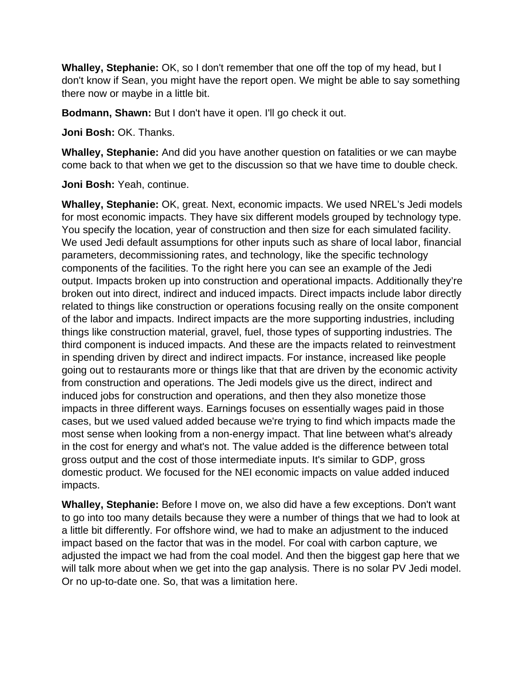**Whalley, Stephanie:** OK, so I don't remember that one off the top of my head, but I don't know if Sean, you might have the report open. We might be able to say something there now or maybe in a little bit.

**Bodmann, Shawn:** But I don't have it open. I'll go check it out.

**Joni Bosh:** OK. Thanks.

**Whalley, Stephanie:** And did you have another question on fatalities or we can maybe come back to that when we get to the discussion so that we have time to double check.

**Joni Bosh:** Yeah, continue.

**Whalley, Stephanie:** OK, great. Next, economic impacts. We used NREL's Jedi models for most economic impacts. They have six different models grouped by technology type. You specify the location, year of construction and then size for each simulated facility. We used Jedi default assumptions for other inputs such as share of local labor, financial parameters, decommissioning rates, and technology, like the specific technology components of the facilities. To the right here you can see an example of the Jedi output. Impacts broken up into construction and operational impacts. Additionally they're broken out into direct, indirect and induced impacts. Direct impacts include labor directly related to things like construction or operations focusing really on the onsite component of the labor and impacts. Indirect impacts are the more supporting industries, including things like construction material, gravel, fuel, those types of supporting industries. The third component is induced impacts. And these are the impacts related to reinvestment in spending driven by direct and indirect impacts. For instance, increased like people going out to restaurants more or things like that that are driven by the economic activity from construction and operations. The Jedi models give us the direct, indirect and induced jobs for construction and operations, and then they also monetize those impacts in three different ways. Earnings focuses on essentially wages paid in those cases, but we used valued added because we're trying to find which impacts made the most sense when looking from a non-energy impact. That line between what's already in the cost for energy and what's not. The value added is the difference between total gross output and the cost of those intermediate inputs. It's similar to GDP, gross domestic product. We focused for the NEI economic impacts on value added induced impacts.

**Whalley, Stephanie:** Before I move on, we also did have a few exceptions. Don't want to go into too many details because they were a number of things that we had to look at a little bit differently. For offshore wind, we had to make an adjustment to the induced impact based on the factor that was in the model. For coal with carbon capture, we adjusted the impact we had from the coal model. And then the biggest gap here that we will talk more about when we get into the gap analysis. There is no solar PV Jedi model. Or no up-to-date one. So, that was a limitation here.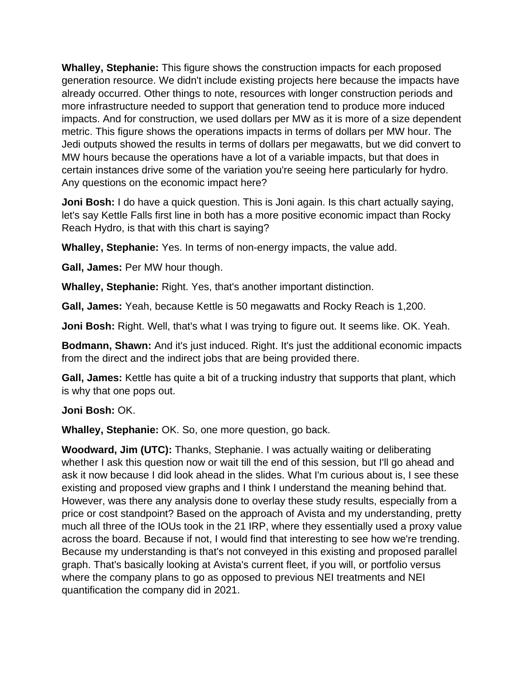**Whalley, Stephanie:** This figure shows the construction impacts for each proposed generation resource. We didn't include existing projects here because the impacts have already occurred. Other things to note, resources with longer construction periods and more infrastructure needed to support that generation tend to produce more induced impacts. And for construction, we used dollars per MW as it is more of a size dependent metric. This figure shows the operations impacts in terms of dollars per MW hour. The Jedi outputs showed the results in terms of dollars per megawatts, but we did convert to MW hours because the operations have a lot of a variable impacts, but that does in certain instances drive some of the variation you're seeing here particularly for hydro. Any questions on the economic impact here?

**Joni Bosh:** I do have a quick question. This is Joni again. Is this chart actually saying, let's say Kettle Falls first line in both has a more positive economic impact than Rocky Reach Hydro, is that with this chart is saying?

**Whalley, Stephanie:** Yes. In terms of non-energy impacts, the value add.

**Gall, James:** Per MW hour though.

**Whalley, Stephanie:** Right. Yes, that's another important distinction.

**Gall, James:** Yeah, because Kettle is 50 megawatts and Rocky Reach is 1,200.

**Joni Bosh:** Right. Well, that's what I was trying to figure out. It seems like. OK. Yeah.

**Bodmann, Shawn:** And it's just induced. Right. It's just the additional economic impacts from the direct and the indirect jobs that are being provided there.

**Gall, James:** Kettle has quite a bit of a trucking industry that supports that plant, which is why that one pops out.

#### **Joni Bosh:** OK.

**Whalley, Stephanie:** OK. So, one more question, go back.

**Woodward, Jim (UTC):** Thanks, Stephanie. I was actually waiting or deliberating whether I ask this question now or wait till the end of this session, but I'll go ahead and ask it now because I did look ahead in the slides. What I'm curious about is, I see these existing and proposed view graphs and I think I understand the meaning behind that. However, was there any analysis done to overlay these study results, especially from a price or cost standpoint? Based on the approach of Avista and my understanding, pretty much all three of the IOUs took in the 21 IRP, where they essentially used a proxy value across the board. Because if not, I would find that interesting to see how we're trending. Because my understanding is that's not conveyed in this existing and proposed parallel graph. That's basically looking at Avista's current fleet, if you will, or portfolio versus where the company plans to go as opposed to previous NEI treatments and NEI quantification the company did in 2021.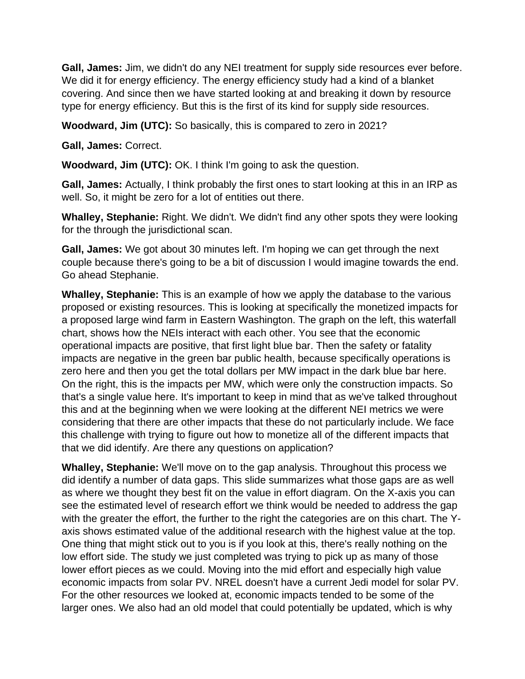**Gall, James:** Jim, we didn't do any NEI treatment for supply side resources ever before. We did it for energy efficiency. The energy efficiency study had a kind of a blanket covering. And since then we have started looking at and breaking it down by resource type for energy efficiency. But this is the first of its kind for supply side resources.

**Woodward, Jim (UTC):** So basically, this is compared to zero in 2021?

**Gall, James:** Correct.

**Woodward, Jim (UTC):** OK. I think I'm going to ask the question.

**Gall, James:** Actually, I think probably the first ones to start looking at this in an IRP as well. So, it might be zero for a lot of entities out there.

**Whalley, Stephanie:** Right. We didn't. We didn't find any other spots they were looking for the through the jurisdictional scan.

**Gall, James:** We got about 30 minutes left. I'm hoping we can get through the next couple because there's going to be a bit of discussion I would imagine towards the end. Go ahead Stephanie.

**Whalley, Stephanie:** This is an example of how we apply the database to the various proposed or existing resources. This is looking at specifically the monetized impacts for a proposed large wind farm in Eastern Washington. The graph on the left, this waterfall chart, shows how the NEIs interact with each other. You see that the economic operational impacts are positive, that first light blue bar. Then the safety or fatality impacts are negative in the green bar public health, because specifically operations is zero here and then you get the total dollars per MW impact in the dark blue bar here. On the right, this is the impacts per MW, which were only the construction impacts. So that's a single value here. It's important to keep in mind that as we've talked throughout this and at the beginning when we were looking at the different NEI metrics we were considering that there are other impacts that these do not particularly include. We face this challenge with trying to figure out how to monetize all of the different impacts that that we did identify. Are there any questions on application?

**Whalley, Stephanie:** We'll move on to the gap analysis. Throughout this process we did identify a number of data gaps. This slide summarizes what those gaps are as well as where we thought they best fit on the value in effort diagram. On the X-axis you can see the estimated level of research effort we think would be needed to address the gap with the greater the effort, the further to the right the categories are on this chart. The Yaxis shows estimated value of the additional research with the highest value at the top. One thing that might stick out to you is if you look at this, there's really nothing on the low effort side. The study we just completed was trying to pick up as many of those lower effort pieces as we could. Moving into the mid effort and especially high value economic impacts from solar PV. NREL doesn't have a current Jedi model for solar PV. For the other resources we looked at, economic impacts tended to be some of the larger ones. We also had an old model that could potentially be updated, which is why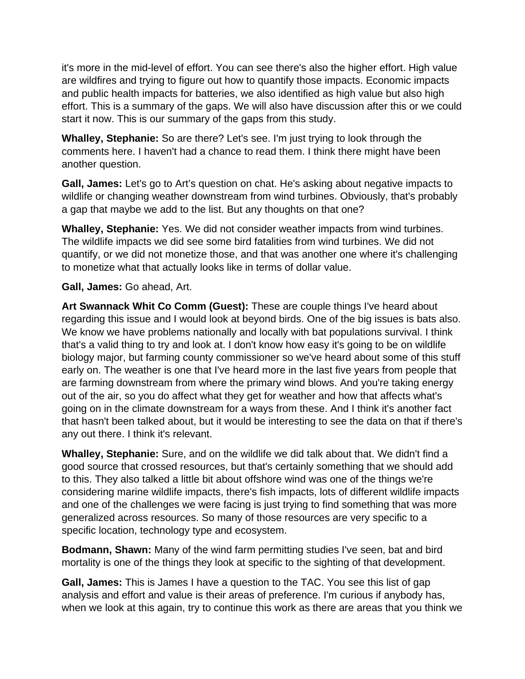it's more in the mid-level of effort. You can see there's also the higher effort. High value are wildfires and trying to figure out how to quantify those impacts. Economic impacts and public health impacts for batteries, we also identified as high value but also high effort. This is a summary of the gaps. We will also have discussion after this or we could start it now. This is our summary of the gaps from this study.

**Whalley, Stephanie:** So are there? Let's see. I'm just trying to look through the comments here. I haven't had a chance to read them. I think there might have been another question.

**Gall, James:** Let's go to Art's question on chat. He's asking about negative impacts to wildlife or changing weather downstream from wind turbines. Obviously, that's probably a gap that maybe we add to the list. But any thoughts on that one?

**Whalley, Stephanie:** Yes. We did not consider weather impacts from wind turbines. The wildlife impacts we did see some bird fatalities from wind turbines. We did not quantify, or we did not monetize those, and that was another one where it's challenging to monetize what that actually looks like in terms of dollar value.

## **Gall, James:** Go ahead, Art.

**Art Swannack Whit Co Comm (Guest):** These are couple things I've heard about regarding this issue and I would look at beyond birds. One of the big issues is bats also. We know we have problems nationally and locally with bat populations survival. I think that's a valid thing to try and look at. I don't know how easy it's going to be on wildlife biology major, but farming county commissioner so we've heard about some of this stuff early on. The weather is one that I've heard more in the last five years from people that are farming downstream from where the primary wind blows. And you're taking energy out of the air, so you do affect what they get for weather and how that affects what's going on in the climate downstream for a ways from these. And I think it's another fact that hasn't been talked about, but it would be interesting to see the data on that if there's any out there. I think it's relevant.

**Whalley, Stephanie:** Sure, and on the wildlife we did talk about that. We didn't find a good source that crossed resources, but that's certainly something that we should add to this. They also talked a little bit about offshore wind was one of the things we're considering marine wildlife impacts, there's fish impacts, lots of different wildlife impacts and one of the challenges we were facing is just trying to find something that was more generalized across resources. So many of those resources are very specific to a specific location, technology type and ecosystem.

**Bodmann, Shawn:** Many of the wind farm permitting studies I've seen, bat and bird mortality is one of the things they look at specific to the sighting of that development.

**Gall, James:** This is James I have a question to the TAC. You see this list of gap analysis and effort and value is their areas of preference. I'm curious if anybody has, when we look at this again, try to continue this work as there are areas that you think we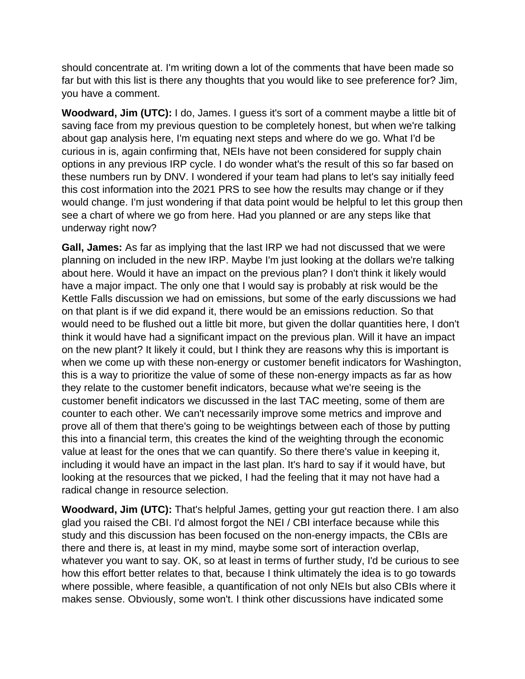should concentrate at. I'm writing down a lot of the comments that have been made so far but with this list is there any thoughts that you would like to see preference for? Jim, you have a comment.

**Woodward, Jim (UTC):** I do, James. I guess it's sort of a comment maybe a little bit of saving face from my previous question to be completely honest, but when we're talking about gap analysis here, I'm equating next steps and where do we go. What I'd be curious in is, again confirming that, NEIs have not been considered for supply chain options in any previous IRP cycle. I do wonder what's the result of this so far based on these numbers run by DNV. I wondered if your team had plans to let's say initially feed this cost information into the 2021 PRS to see how the results may change or if they would change. I'm just wondering if that data point would be helpful to let this group then see a chart of where we go from here. Had you planned or are any steps like that underway right now?

**Gall, James:** As far as implying that the last IRP we had not discussed that we were planning on included in the new IRP. Maybe I'm just looking at the dollars we're talking about here. Would it have an impact on the previous plan? I don't think it likely would have a major impact. The only one that I would say is probably at risk would be the Kettle Falls discussion we had on emissions, but some of the early discussions we had on that plant is if we did expand it, there would be an emissions reduction. So that would need to be flushed out a little bit more, but given the dollar quantities here, I don't think it would have had a significant impact on the previous plan. Will it have an impact on the new plant? It likely it could, but I think they are reasons why this is important is when we come up with these non-energy or customer benefit indicators for Washington, this is a way to prioritize the value of some of these non-energy impacts as far as how they relate to the customer benefit indicators, because what we're seeing is the customer benefit indicators we discussed in the last TAC meeting, some of them are counter to each other. We can't necessarily improve some metrics and improve and prove all of them that there's going to be weightings between each of those by putting this into a financial term, this creates the kind of the weighting through the economic value at least for the ones that we can quantify. So there there's value in keeping it, including it would have an impact in the last plan. It's hard to say if it would have, but looking at the resources that we picked, I had the feeling that it may not have had a radical change in resource selection.

**Woodward, Jim (UTC):** That's helpful James, getting your gut reaction there. I am also glad you raised the CBI. I'd almost forgot the NEI / CBI interface because while this study and this discussion has been focused on the non-energy impacts, the CBIs are there and there is, at least in my mind, maybe some sort of interaction overlap, whatever you want to say. OK, so at least in terms of further study, I'd be curious to see how this effort better relates to that, because I think ultimately the idea is to go towards where possible, where feasible, a quantification of not only NEIs but also CBIs where it makes sense. Obviously, some won't. I think other discussions have indicated some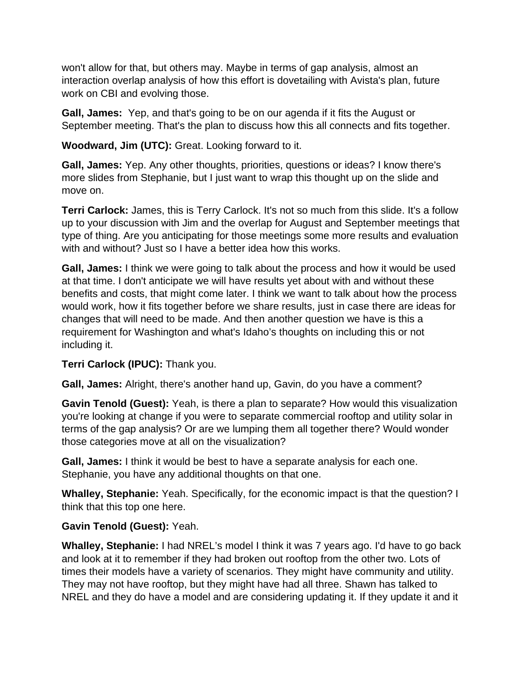won't allow for that, but others may. Maybe in terms of gap analysis, almost an interaction overlap analysis of how this effort is dovetailing with Avista's plan, future work on CBI and evolving those.

**Gall, James:** Yep, and that's going to be on our agenda if it fits the August or September meeting. That's the plan to discuss how this all connects and fits together.

**Woodward, Jim (UTC):** Great. Looking forward to it.

**Gall, James:** Yep. Any other thoughts, priorities, questions or ideas? I know there's more slides from Stephanie, but I just want to wrap this thought up on the slide and move on.

**Terri Carlock:** James, this is Terry Carlock. It's not so much from this slide. It's a follow up to your discussion with Jim and the overlap for August and September meetings that type of thing. Are you anticipating for those meetings some more results and evaluation with and without? Just so I have a better idea how this works.

**Gall, James:** I think we were going to talk about the process and how it would be used at that time. I don't anticipate we will have results yet about with and without these benefits and costs, that might come later. I think we want to talk about how the process would work, how it fits together before we share results, just in case there are ideas for changes that will need to be made. And then another question we have is this a requirement for Washington and what's Idaho's thoughts on including this or not including it.

## **Terri Carlock (IPUC):** Thank you.

**Gall, James:** Alright, there's another hand up, Gavin, do you have a comment?

**Gavin Tenold (Guest):** Yeah, is there a plan to separate? How would this visualization you're looking at change if you were to separate commercial rooftop and utility solar in terms of the gap analysis? Or are we lumping them all together there? Would wonder those categories move at all on the visualization?

**Gall, James:** I think it would be best to have a separate analysis for each one. Stephanie, you have any additional thoughts on that one.

**Whalley, Stephanie:** Yeah. Specifically, for the economic impact is that the question? I think that this top one here.

## **Gavin Tenold (Guest):** Yeah.

**Whalley, Stephanie:** I had NREL's model I think it was 7 years ago. I'd have to go back and look at it to remember if they had broken out rooftop from the other two. Lots of times their models have a variety of scenarios. They might have community and utility. They may not have rooftop, but they might have had all three. Shawn has talked to NREL and they do have a model and are considering updating it. If they update it and it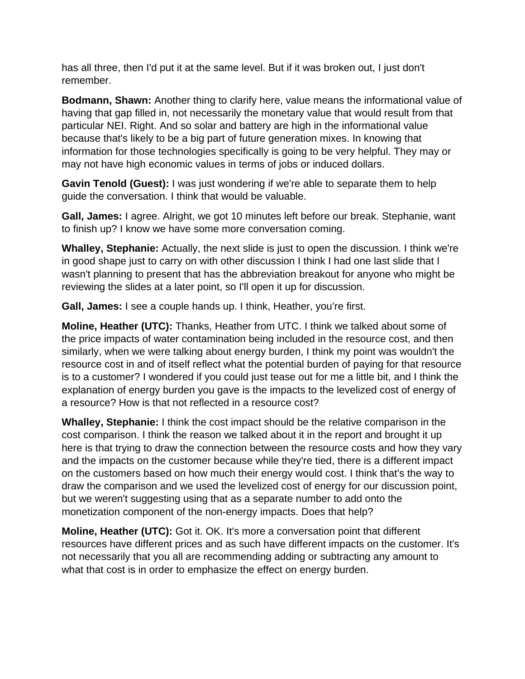has all three, then I'd put it at the same level. But if it was broken out, I just don't remember.

**Bodmann, Shawn:** Another thing to clarify here, value means the informational value of having that gap filled in, not necessarily the monetary value that would result from that particular NEI. Right. And so solar and battery are high in the informational value because that's likely to be a big part of future generation mixes. In knowing that information for those technologies specifically is going to be very helpful. They may or may not have high economic values in terms of jobs or induced dollars.

**Gavin Tenold (Guest):** I was just wondering if we're able to separate them to help guide the conversation. I think that would be valuable.

**Gall, James:** I agree. Alright, we got 10 minutes left before our break. Stephanie, want to finish up? I know we have some more conversation coming.

**Whalley, Stephanie:** Actually, the next slide is just to open the discussion. I think we're in good shape just to carry on with other discussion I think I had one last slide that I wasn't planning to present that has the abbreviation breakout for anyone who might be reviewing the slides at a later point, so I'll open it up for discussion.

**Gall, James:** I see a couple hands up. I think, Heather, you're first.

**Moline, Heather (UTC):** Thanks, Heather from UTC. I think we talked about some of the price impacts of water contamination being included in the resource cost, and then similarly, when we were talking about energy burden, I think my point was wouldn't the resource cost in and of itself reflect what the potential burden of paying for that resource is to a customer? I wondered if you could just tease out for me a little bit, and I think the explanation of energy burden you gave is the impacts to the levelized cost of energy of a resource? How is that not reflected in a resource cost?

**Whalley, Stephanie:** I think the cost impact should be the relative comparison in the cost comparison. I think the reason we talked about it in the report and brought it up here is that trying to draw the connection between the resource costs and how they vary and the impacts on the customer because while they're tied, there is a different impact on the customers based on how much their energy would cost. I think that's the way to draw the comparison and we used the levelized cost of energy for our discussion point, but we weren't suggesting using that as a separate number to add onto the monetization component of the non-energy impacts. Does that help?

**Moline, Heather (UTC):** Got it. OK. It's more a conversation point that different resources have different prices and as such have different impacts on the customer. It's not necessarily that you all are recommending adding or subtracting any amount to what that cost is in order to emphasize the effect on energy burden.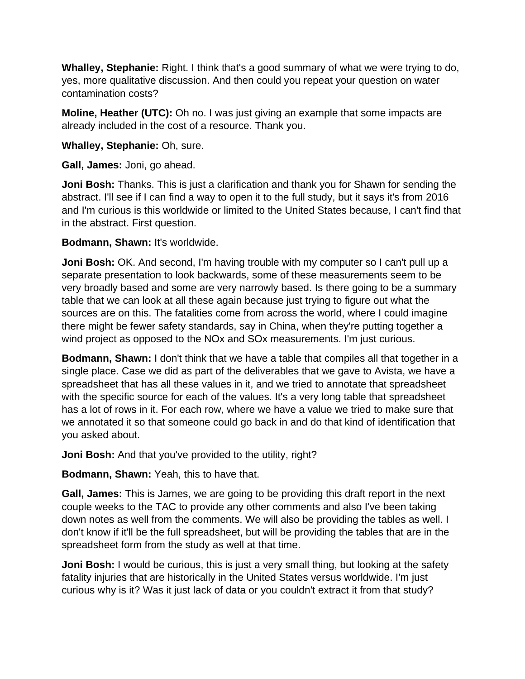**Whalley, Stephanie:** Right. I think that's a good summary of what we were trying to do, yes, more qualitative discussion. And then could you repeat your question on water contamination costs?

**Moline, Heather (UTC):** Oh no. I was just giving an example that some impacts are already included in the cost of a resource. Thank you.

**Whalley, Stephanie:** Oh, sure.

**Gall, James:** Joni, go ahead.

**Joni Bosh:** Thanks. This is just a clarification and thank you for Shawn for sending the abstract. I'll see if I can find a way to open it to the full study, but it says it's from 2016 and I'm curious is this worldwide or limited to the United States because, I can't find that in the abstract. First question.

**Bodmann, Shawn:** It's worldwide.

**Joni Bosh:** OK. And second, I'm having trouble with my computer so I can't pull up a separate presentation to look backwards, some of these measurements seem to be very broadly based and some are very narrowly based. Is there going to be a summary table that we can look at all these again because just trying to figure out what the sources are on this. The fatalities come from across the world, where I could imagine there might be fewer safety standards, say in China, when they're putting together a wind project as opposed to the NOx and SOx measurements. I'm just curious.

**Bodmann, Shawn:** I don't think that we have a table that compiles all that together in a single place. Case we did as part of the deliverables that we gave to Avista, we have a spreadsheet that has all these values in it, and we tried to annotate that spreadsheet with the specific source for each of the values. It's a very long table that spreadsheet has a lot of rows in it. For each row, where we have a value we tried to make sure that we annotated it so that someone could go back in and do that kind of identification that you asked about.

**Joni Bosh:** And that you've provided to the utility, right?

**Bodmann, Shawn:** Yeah, this to have that.

**Gall, James:** This is James, we are going to be providing this draft report in the next couple weeks to the TAC to provide any other comments and also I've been taking down notes as well from the comments. We will also be providing the tables as well. I don't know if it'll be the full spreadsheet, but will be providing the tables that are in the spreadsheet form from the study as well at that time.

**Joni Bosh:** I would be curious, this is just a very small thing, but looking at the safety fatality injuries that are historically in the United States versus worldwide. I'm just curious why is it? Was it just lack of data or you couldn't extract it from that study?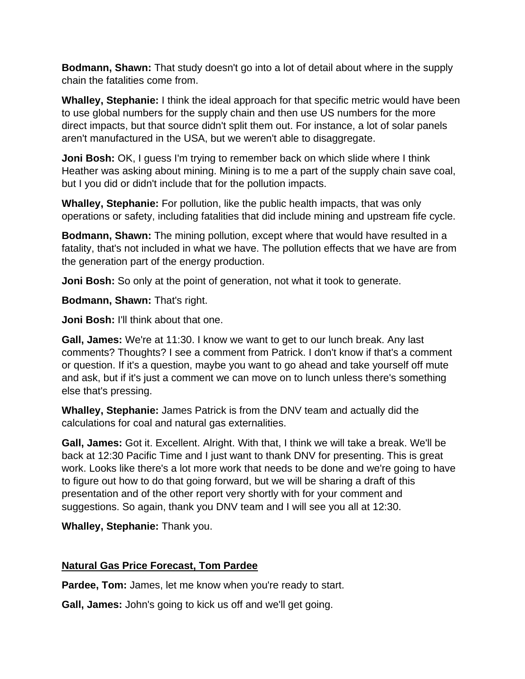**Bodmann, Shawn:** That study doesn't go into a lot of detail about where in the supply chain the fatalities come from.

**Whalley, Stephanie:** I think the ideal approach for that specific metric would have been to use global numbers for the supply chain and then use US numbers for the more direct impacts, but that source didn't split them out. For instance, a lot of solar panels aren't manufactured in the USA, but we weren't able to disaggregate.

**Joni Bosh:** OK, I guess I'm trying to remember back on which slide where I think Heather was asking about mining. Mining is to me a part of the supply chain save coal, but I you did or didn't include that for the pollution impacts.

**Whalley, Stephanie:** For pollution, like the public health impacts, that was only operations or safety, including fatalities that did include mining and upstream fife cycle.

**Bodmann, Shawn:** The mining pollution, except where that would have resulted in a fatality, that's not included in what we have. The pollution effects that we have are from the generation part of the energy production.

**Joni Bosh:** So only at the point of generation, not what it took to generate.

**Bodmann, Shawn:** That's right.

**Joni Bosh:** I'll think about that one.

**Gall, James:** We're at 11:30. I know we want to get to our lunch break. Any last comments? Thoughts? I see a comment from Patrick. I don't know if that's a comment or question. If it's a question, maybe you want to go ahead and take yourself off mute and ask, but if it's just a comment we can move on to lunch unless there's something else that's pressing.

**Whalley, Stephanie:** James Patrick is from the DNV team and actually did the calculations for coal and natural gas externalities.

**Gall, James:** Got it. Excellent. Alright. With that, I think we will take a break. We'll be back at 12:30 Pacific Time and I just want to thank DNV for presenting. This is great work. Looks like there's a lot more work that needs to be done and we're going to have to figure out how to do that going forward, but we will be sharing a draft of this presentation and of the other report very shortly with for your comment and suggestions. So again, thank you DNV team and I will see you all at 12:30.

**Whalley, Stephanie:** Thank you.

# **Natural Gas Price Forecast, Tom Pardee**

Pardee, Tom: James, let me know when you're ready to start.

**Gall, James:** John's going to kick us off and we'll get going.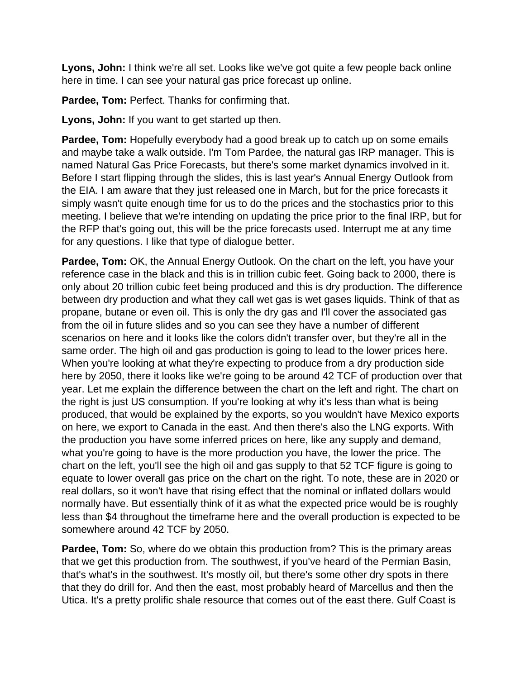**Lyons, John:** I think we're all set. Looks like we've got quite a few people back online here in time. I can see your natural gas price forecast up online.

**Pardee, Tom:** Perfect. Thanks for confirming that.

**Lyons, John:** If you want to get started up then.

**Pardee, Tom:** Hopefully everybody had a good break up to catch up on some emails and maybe take a walk outside. I'm Tom Pardee, the natural gas IRP manager. This is named Natural Gas Price Forecasts, but there's some market dynamics involved in it. Before I start flipping through the slides, this is last year's Annual Energy Outlook from the EIA. I am aware that they just released one in March, but for the price forecasts it simply wasn't quite enough time for us to do the prices and the stochastics prior to this meeting. I believe that we're intending on updating the price prior to the final IRP, but for the RFP that's going out, this will be the price forecasts used. Interrupt me at any time for any questions. I like that type of dialogue better.

**Pardee, Tom:** OK, the Annual Energy Outlook. On the chart on the left, you have your reference case in the black and this is in trillion cubic feet. Going back to 2000, there is only about 20 trillion cubic feet being produced and this is dry production. The difference between dry production and what they call wet gas is wet gases liquids. Think of that as propane, butane or even oil. This is only the dry gas and I'll cover the associated gas from the oil in future slides and so you can see they have a number of different scenarios on here and it looks like the colors didn't transfer over, but they're all in the same order. The high oil and gas production is going to lead to the lower prices here. When you're looking at what they're expecting to produce from a dry production side here by 2050, there it looks like we're going to be around 42 TCF of production over that year. Let me explain the difference between the chart on the left and right. The chart on the right is just US consumption. If you're looking at why it's less than what is being produced, that would be explained by the exports, so you wouldn't have Mexico exports on here, we export to Canada in the east. And then there's also the LNG exports. With the production you have some inferred prices on here, like any supply and demand, what you're going to have is the more production you have, the lower the price. The chart on the left, you'll see the high oil and gas supply to that 52 TCF figure is going to equate to lower overall gas price on the chart on the right. To note, these are in 2020 or real dollars, so it won't have that rising effect that the nominal or inflated dollars would normally have. But essentially think of it as what the expected price would be is roughly less than \$4 throughout the timeframe here and the overall production is expected to be somewhere around 42 TCF by 2050.

**Pardee, Tom:** So, where do we obtain this production from? This is the primary areas that we get this production from. The southwest, if you've heard of the Permian Basin, that's what's in the southwest. It's mostly oil, but there's some other dry spots in there that they do drill for. And then the east, most probably heard of Marcellus and then the Utica. It's a pretty prolific shale resource that comes out of the east there. Gulf Coast is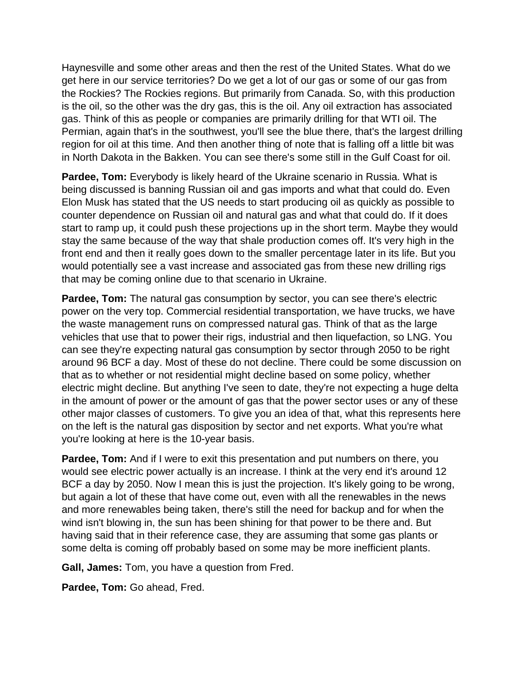Haynesville and some other areas and then the rest of the United States. What do we get here in our service territories? Do we get a lot of our gas or some of our gas from the Rockies? The Rockies regions. But primarily from Canada. So, with this production is the oil, so the other was the dry gas, this is the oil. Any oil extraction has associated gas. Think of this as people or companies are primarily drilling for that WTI oil. The Permian, again that's in the southwest, you'll see the blue there, that's the largest drilling region for oil at this time. And then another thing of note that is falling off a little bit was in North Dakota in the Bakken. You can see there's some still in the Gulf Coast for oil.

**Pardee, Tom:** Everybody is likely heard of the Ukraine scenario in Russia. What is being discussed is banning Russian oil and gas imports and what that could do. Even Elon Musk has stated that the US needs to start producing oil as quickly as possible to counter dependence on Russian oil and natural gas and what that could do. If it does start to ramp up, it could push these projections up in the short term. Maybe they would stay the same because of the way that shale production comes off. It's very high in the front end and then it really goes down to the smaller percentage later in its life. But you would potentially see a vast increase and associated gas from these new drilling rigs that may be coming online due to that scenario in Ukraine.

**Pardee, Tom:** The natural gas consumption by sector, you can see there's electric power on the very top. Commercial residential transportation, we have trucks, we have the waste management runs on compressed natural gas. Think of that as the large vehicles that use that to power their rigs, industrial and then liquefaction, so LNG. You can see they're expecting natural gas consumption by sector through 2050 to be right around 96 BCF a day. Most of these do not decline. There could be some discussion on that as to whether or not residential might decline based on some policy, whether electric might decline. But anything I've seen to date, they're not expecting a huge delta in the amount of power or the amount of gas that the power sector uses or any of these other major classes of customers. To give you an idea of that, what this represents here on the left is the natural gas disposition by sector and net exports. What you're what you're looking at here is the 10-year basis.

**Pardee, Tom:** And if I were to exit this presentation and put numbers on there, you would see electric power actually is an increase. I think at the very end it's around 12 BCF a day by 2050. Now I mean this is just the projection. It's likely going to be wrong, but again a lot of these that have come out, even with all the renewables in the news and more renewables being taken, there's still the need for backup and for when the wind isn't blowing in, the sun has been shining for that power to be there and. But having said that in their reference case, they are assuming that some gas plants or some delta is coming off probably based on some may be more inefficient plants.

**Gall, James:** Tom, you have a question from Fred.

**Pardee, Tom:** Go ahead, Fred.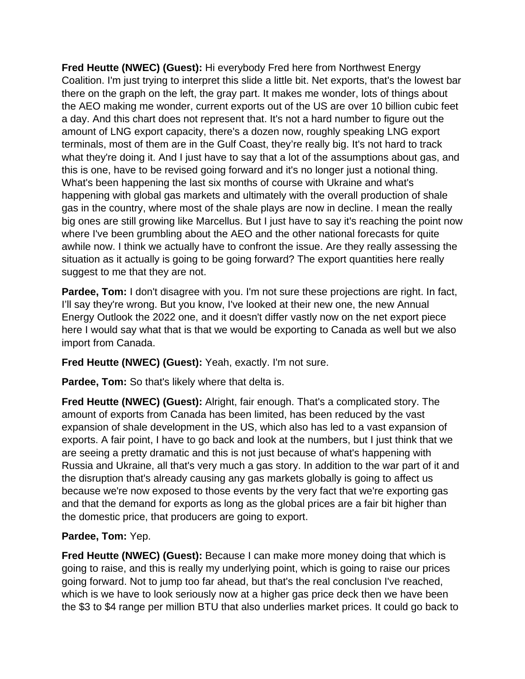**Fred Heutte (NWEC) (Guest):** Hi everybody Fred here from Northwest Energy Coalition. I'm just trying to interpret this slide a little bit. Net exports, that's the lowest bar there on the graph on the left, the gray part. It makes me wonder, lots of things about the AEO making me wonder, current exports out of the US are over 10 billion cubic feet a day. And this chart does not represent that. It's not a hard number to figure out the amount of LNG export capacity, there's a dozen now, roughly speaking LNG export terminals, most of them are in the Gulf Coast, they're really big. It's not hard to track what they're doing it. And I just have to say that a lot of the assumptions about gas, and this is one, have to be revised going forward and it's no longer just a notional thing. What's been happening the last six months of course with Ukraine and what's happening with global gas markets and ultimately with the overall production of shale gas in the country, where most of the shale plays are now in decline. I mean the really big ones are still growing like Marcellus. But I just have to say it's reaching the point now where I've been grumbling about the AEO and the other national forecasts for quite awhile now. I think we actually have to confront the issue. Are they really assessing the situation as it actually is going to be going forward? The export quantities here really suggest to me that they are not.

**Pardee, Tom:** I don't disagree with you. I'm not sure these projections are right. In fact, I'll say they're wrong. But you know, I've looked at their new one, the new Annual Energy Outlook the 2022 one, and it doesn't differ vastly now on the net export piece here I would say what that is that we would be exporting to Canada as well but we also import from Canada.

**Fred Heutte (NWEC) (Guest):** Yeah, exactly. I'm not sure.

**Pardee, Tom:** So that's likely where that delta is.

**Fred Heutte (NWEC) (Guest):** Alright, fair enough. That's a complicated story. The amount of exports from Canada has been limited, has been reduced by the vast expansion of shale development in the US, which also has led to a vast expansion of exports. A fair point, I have to go back and look at the numbers, but I just think that we are seeing a pretty dramatic and this is not just because of what's happening with Russia and Ukraine, all that's very much a gas story. In addition to the war part of it and the disruption that's already causing any gas markets globally is going to affect us because we're now exposed to those events by the very fact that we're exporting gas and that the demand for exports as long as the global prices are a fair bit higher than the domestic price, that producers are going to export.

# **Pardee, Tom:** Yep.

**Fred Heutte (NWEC) (Guest):** Because I can make more money doing that which is going to raise, and this is really my underlying point, which is going to raise our prices going forward. Not to jump too far ahead, but that's the real conclusion I've reached, which is we have to look seriously now at a higher gas price deck then we have been the \$3 to \$4 range per million BTU that also underlies market prices. It could go back to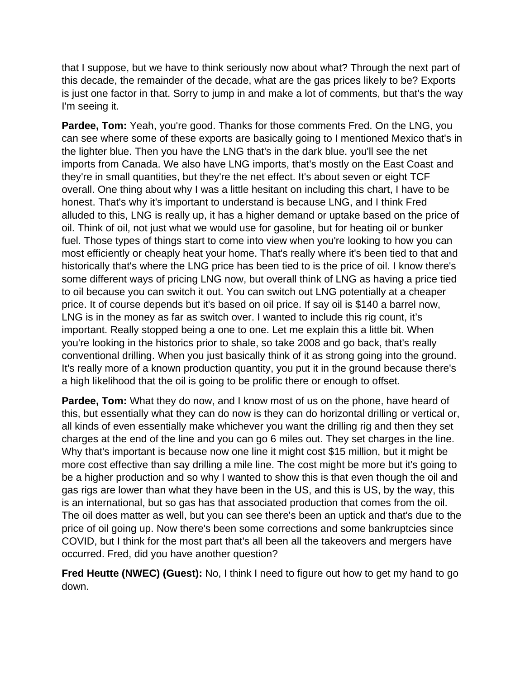that I suppose, but we have to think seriously now about what? Through the next part of this decade, the remainder of the decade, what are the gas prices likely to be? Exports is just one factor in that. Sorry to jump in and make a lot of comments, but that's the way I'm seeing it.

**Pardee, Tom:** Yeah, you're good. Thanks for those comments Fred. On the LNG, you can see where some of these exports are basically going to I mentioned Mexico that's in the lighter blue. Then you have the LNG that's in the dark blue. you'll see the net imports from Canada. We also have LNG imports, that's mostly on the East Coast and they're in small quantities, but they're the net effect. It's about seven or eight TCF overall. One thing about why I was a little hesitant on including this chart, I have to be honest. That's why it's important to understand is because LNG, and I think Fred alluded to this, LNG is really up, it has a higher demand or uptake based on the price of oil. Think of oil, not just what we would use for gasoline, but for heating oil or bunker fuel. Those types of things start to come into view when you're looking to how you can most efficiently or cheaply heat your home. That's really where it's been tied to that and historically that's where the LNG price has been tied to is the price of oil. I know there's some different ways of pricing LNG now, but overall think of LNG as having a price tied to oil because you can switch it out. You can switch out LNG potentially at a cheaper price. It of course depends but it's based on oil price. If say oil is \$140 a barrel now, LNG is in the money as far as switch over. I wanted to include this rig count, it's important. Really stopped being a one to one. Let me explain this a little bit. When you're looking in the historics prior to shale, so take 2008 and go back, that's really conventional drilling. When you just basically think of it as strong going into the ground. It's really more of a known production quantity, you put it in the ground because there's a high likelihood that the oil is going to be prolific there or enough to offset.

**Pardee, Tom:** What they do now, and I know most of us on the phone, have heard of this, but essentially what they can do now is they can do horizontal drilling or vertical or, all kinds of even essentially make whichever you want the drilling rig and then they set charges at the end of the line and you can go 6 miles out. They set charges in the line. Why that's important is because now one line it might cost \$15 million, but it might be more cost effective than say drilling a mile line. The cost might be more but it's going to be a higher production and so why I wanted to show this is that even though the oil and gas rigs are lower than what they have been in the US, and this is US, by the way, this is an international, but so gas has that associated production that comes from the oil. The oil does matter as well, but you can see there's been an uptick and that's due to the price of oil going up. Now there's been some corrections and some bankruptcies since COVID, but I think for the most part that's all been all the takeovers and mergers have occurred. Fred, did you have another question?

**Fred Heutte (NWEC) (Guest):** No, I think I need to figure out how to get my hand to go down.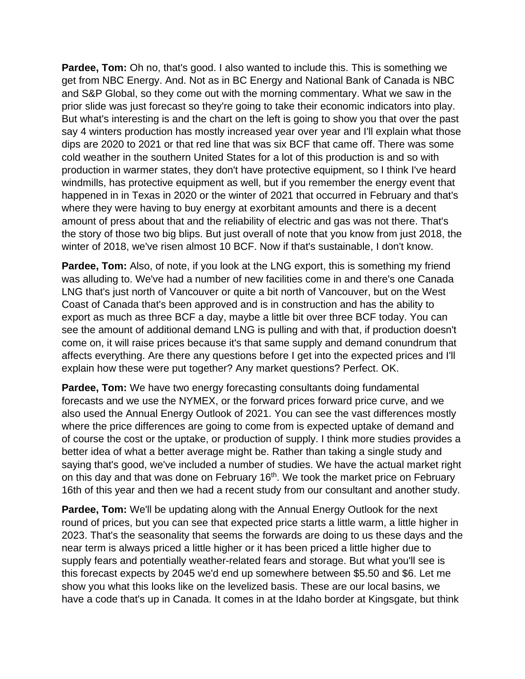**Pardee, Tom:** Oh no, that's good. I also wanted to include this. This is something we get from NBC Energy. And. Not as in BC Energy and National Bank of Canada is NBC and S&P Global, so they come out with the morning commentary. What we saw in the prior slide was just forecast so they're going to take their economic indicators into play. But what's interesting is and the chart on the left is going to show you that over the past say 4 winters production has mostly increased year over year and I'll explain what those dips are 2020 to 2021 or that red line that was six BCF that came off. There was some cold weather in the southern United States for a lot of this production is and so with production in warmer states, they don't have protective equipment, so I think I've heard windmills, has protective equipment as well, but if you remember the energy event that happened in in Texas in 2020 or the winter of 2021 that occurred in February and that's where they were having to buy energy at exorbitant amounts and there is a decent amount of press about that and the reliability of electric and gas was not there. That's the story of those two big blips. But just overall of note that you know from just 2018, the winter of 2018, we've risen almost 10 BCF. Now if that's sustainable, I don't know.

**Pardee, Tom:** Also, of note, if you look at the LNG export, this is something my friend was alluding to. We've had a number of new facilities come in and there's one Canada LNG that's just north of Vancouver or quite a bit north of Vancouver, but on the West Coast of Canada that's been approved and is in construction and has the ability to export as much as three BCF a day, maybe a little bit over three BCF today. You can see the amount of additional demand LNG is pulling and with that, if production doesn't come on, it will raise prices because it's that same supply and demand conundrum that affects everything. Are there any questions before I get into the expected prices and I'll explain how these were put together? Any market questions? Perfect. OK.

**Pardee, Tom:** We have two energy forecasting consultants doing fundamental forecasts and we use the NYMEX, or the forward prices forward price curve, and we also used the Annual Energy Outlook of 2021. You can see the vast differences mostly where the price differences are going to come from is expected uptake of demand and of course the cost or the uptake, or production of supply. I think more studies provides a better idea of what a better average might be. Rather than taking a single study and saying that's good, we've included a number of studies. We have the actual market right on this day and that was done on February 16<sup>th</sup>. We took the market price on February 16th of this year and then we had a recent study from our consultant and another study.

**Pardee, Tom:** We'll be updating along with the Annual Energy Outlook for the next round of prices, but you can see that expected price starts a little warm, a little higher in 2023. That's the seasonality that seems the forwards are doing to us these days and the near term is always priced a little higher or it has been priced a little higher due to supply fears and potentially weather-related fears and storage. But what you'll see is this forecast expects by 2045 we'd end up somewhere between \$5.50 and \$6. Let me show you what this looks like on the levelized basis. These are our local basins, we have a code that's up in Canada. It comes in at the Idaho border at Kingsgate, but think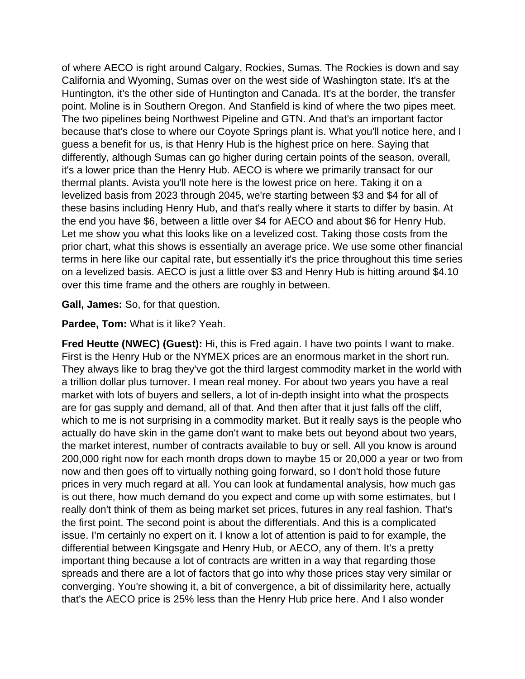of where AECO is right around Calgary, Rockies, Sumas. The Rockies is down and say California and Wyoming, Sumas over on the west side of Washington state. It's at the Huntington, it's the other side of Huntington and Canada. It's at the border, the transfer point. Moline is in Southern Oregon. And Stanfield is kind of where the two pipes meet. The two pipelines being Northwest Pipeline and GTN. And that's an important factor because that's close to where our Coyote Springs plant is. What you'll notice here, and I guess a benefit for us, is that Henry Hub is the highest price on here. Saying that differently, although Sumas can go higher during certain points of the season, overall, it's a lower price than the Henry Hub. AECO is where we primarily transact for our thermal plants. Avista you'll note here is the lowest price on here. Taking it on a levelized basis from 2023 through 2045, we're starting between \$3 and \$4 for all of these basins including Henry Hub, and that's really where it starts to differ by basin. At the end you have \$6, between a little over \$4 for AECO and about \$6 for Henry Hub. Let me show you what this looks like on a levelized cost. Taking those costs from the prior chart, what this shows is essentially an average price. We use some other financial terms in here like our capital rate, but essentially it's the price throughout this time series on a levelized basis. AECO is just a little over \$3 and Henry Hub is hitting around \$4.10 over this time frame and the others are roughly in between.

**Gall, James:** So, for that question.

**Pardee, Tom:** What is it like? Yeah.

**Fred Heutte (NWEC) (Guest):** Hi, this is Fred again. I have two points I want to make. First is the Henry Hub or the NYMEX prices are an enormous market in the short run. They always like to brag they've got the third largest commodity market in the world with a trillion dollar plus turnover. I mean real money. For about two years you have a real market with lots of buyers and sellers, a lot of in-depth insight into what the prospects are for gas supply and demand, all of that. And then after that it just falls off the cliff, which to me is not surprising in a commodity market. But it really says is the people who actually do have skin in the game don't want to make bets out beyond about two years, the market interest, number of contracts available to buy or sell. All you know is around 200,000 right now for each month drops down to maybe 15 or 20,000 a year or two from now and then goes off to virtually nothing going forward, so I don't hold those future prices in very much regard at all. You can look at fundamental analysis, how much gas is out there, how much demand do you expect and come up with some estimates, but I really don't think of them as being market set prices, futures in any real fashion. That's the first point. The second point is about the differentials. And this is a complicated issue. I'm certainly no expert on it. I know a lot of attention is paid to for example, the differential between Kingsgate and Henry Hub, or AECO, any of them. It's a pretty important thing because a lot of contracts are written in a way that regarding those spreads and there are a lot of factors that go into why those prices stay very similar or converging. You're showing it, a bit of convergence, a bit of dissimilarity here, actually that's the AECO price is 25% less than the Henry Hub price here. And I also wonder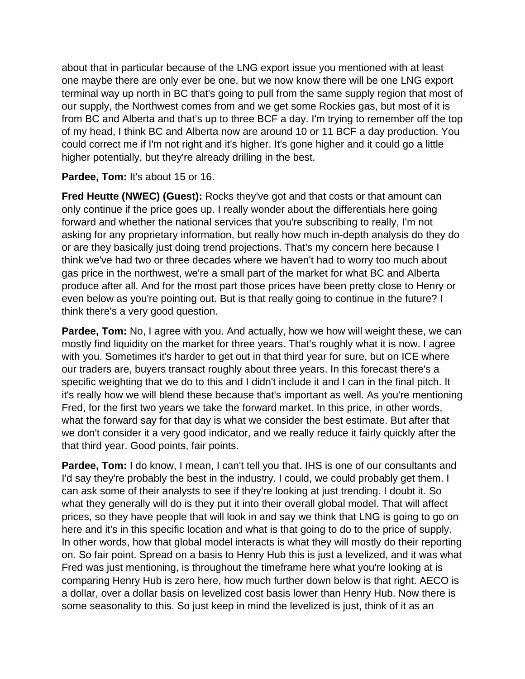about that in particular because of the LNG export issue you mentioned with at least one maybe there are only ever be one, but we now know there will be one LNG export terminal way up north in BC that's going to pull from the same supply region that most of our supply, the Northwest comes from and we get some Rockies gas, but most of it is from BC and Alberta and that's up to three BCF a day. I'm trying to remember off the top of my head, I think BC and Alberta now are around 10 or 11 BCF a day production. You could correct me if I'm not right and it's higher. It's gone higher and it could go a little higher potentially, but they're already drilling in the best.

### **Pardee, Tom:** It's about 15 or 16.

**Fred Heutte (NWEC) (Guest):** Rocks they've got and that costs or that amount can only continue if the price goes up. I really wonder about the differentials here going forward and whether the national services that you're subscribing to really, I'm not asking for any proprietary information, but really how much in-depth analysis do they do or are they basically just doing trend projections. That's my concern here because I think we've had two or three decades where we haven't had to worry too much about gas price in the northwest, we're a small part of the market for what BC and Alberta produce after all. And for the most part those prices have been pretty close to Henry or even below as you're pointing out. But is that really going to continue in the future? I think there's a very good question.

**Pardee, Tom:** No, I agree with you. And actually, how we how will weight these, we can mostly find liquidity on the market for three years. That's roughly what it is now. I agree with you. Sometimes it's harder to get out in that third year for sure, but on ICE where our traders are, buyers transact roughly about three years. In this forecast there's a specific weighting that we do to this and I didn't include it and I can in the final pitch. It it's really how we will blend these because that's important as well. As you're mentioning Fred, for the first two years we take the forward market. In this price, in other words, what the forward say for that day is what we consider the best estimate. But after that we don't consider it a very good indicator, and we really reduce it fairly quickly after the that third year. Good points, fair points.

**Pardee, Tom:** I do know, I mean, I can't tell you that. IHS is one of our consultants and I'd say they're probably the best in the industry. I could, we could probably get them. I can ask some of their analysts to see if they're looking at just trending. I doubt it. So what they generally will do is they put it into their overall global model. That will affect prices, so they have people that will look in and say we think that LNG is going to go on here and it's in this specific location and what is that going to do to the price of supply. In other words, how that global model interacts is what they will mostly do their reporting on. So fair point. Spread on a basis to Henry Hub this is just a levelized, and it was what Fred was just mentioning, is throughout the timeframe here what you're looking at is comparing Henry Hub is zero here, how much further down below is that right. AECO is a dollar, over a dollar basis on levelized cost basis lower than Henry Hub. Now there is some seasonality to this. So just keep in mind the levelized is just, think of it as an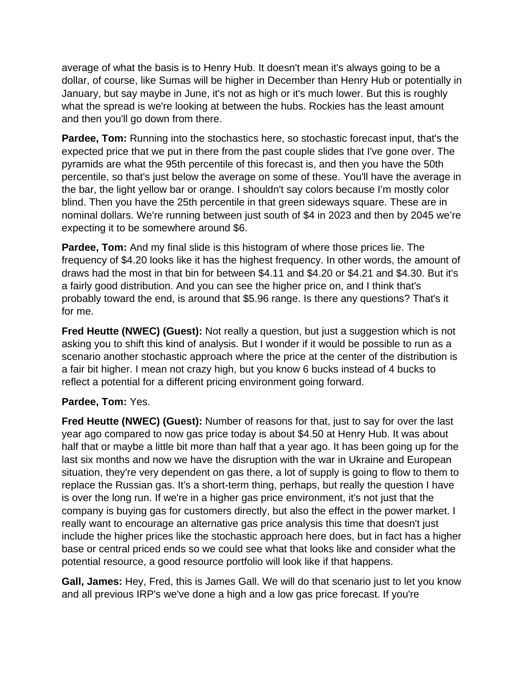average of what the basis is to Henry Hub. It doesn't mean it's always going to be a dollar, of course, like Sumas will be higher in December than Henry Hub or potentially in January, but say maybe in June, it's not as high or it's much lower. But this is roughly what the spread is we're looking at between the hubs. Rockies has the least amount and then you'll go down from there.

**Pardee, Tom:** Running into the stochastics here, so stochastic forecast input, that's the expected price that we put in there from the past couple slides that I've gone over. The pyramids are what the 95th percentile of this forecast is, and then you have the 50th percentile, so that's just below the average on some of these. You'll have the average in the bar, the light yellow bar or orange. I shouldn't say colors because I'm mostly color blind. Then you have the 25th percentile in that green sideways square. These are in nominal dollars. We're running between just south of \$4 in 2023 and then by 2045 we're expecting it to be somewhere around \$6.

**Pardee, Tom:** And my final slide is this histogram of where those prices lie. The frequency of \$4.20 looks like it has the highest frequency. In other words, the amount of draws had the most in that bin for between \$4.11 and \$4.20 or \$4.21 and \$4.30. But it's a fairly good distribution. And you can see the higher price on, and I think that's probably toward the end, is around that \$5.96 range. Is there any questions? That's it for me.

**Fred Heutte (NWEC) (Guest):** Not really a question, but just a suggestion which is not asking you to shift this kind of analysis. But I wonder if it would be possible to run as a scenario another stochastic approach where the price at the center of the distribution is a fair bit higher. I mean not crazy high, but you know 6 bucks instead of 4 bucks to reflect a potential for a different pricing environment going forward.

## **Pardee, Tom:** Yes.

**Fred Heutte (NWEC) (Guest):** Number of reasons for that, just to say for over the last year ago compared to now gas price today is about \$4.50 at Henry Hub. It was about half that or maybe a little bit more than half that a year ago. It has been going up for the last six months and now we have the disruption with the war in Ukraine and European situation, they're very dependent on gas there, a lot of supply is going to flow to them to replace the Russian gas. It's a short-term thing, perhaps, but really the question I have is over the long run. If we're in a higher gas price environment, it's not just that the company is buying gas for customers directly, but also the effect in the power market. I really want to encourage an alternative gas price analysis this time that doesn't just include the higher prices like the stochastic approach here does, but in fact has a higher base or central priced ends so we could see what that looks like and consider what the potential resource, a good resource portfolio will look like if that happens.

**Gall, James:** Hey, Fred, this is James Gall. We will do that scenario just to let you know and all previous IRP's we've done a high and a low gas price forecast. If you're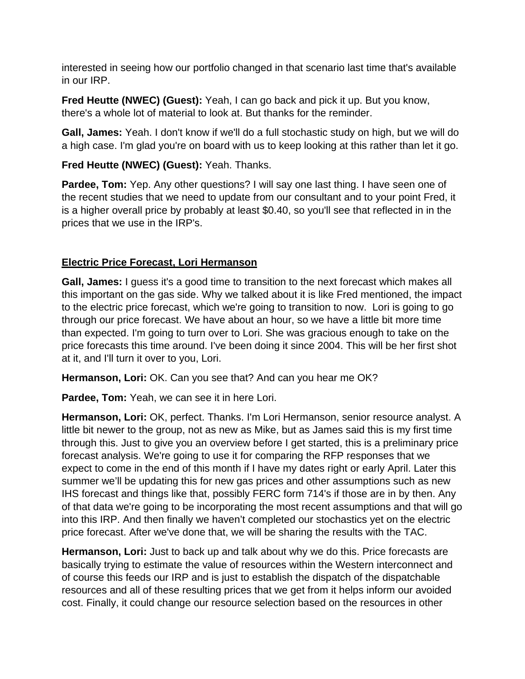interested in seeing how our portfolio changed in that scenario last time that's available in our IRP.

**Fred Heutte (NWEC) (Guest):** Yeah, I can go back and pick it up. But you know, there's a whole lot of material to look at. But thanks for the reminder.

**Gall, James:** Yeah. I don't know if we'll do a full stochastic study on high, but we will do a high case. I'm glad you're on board with us to keep looking at this rather than let it go.

# **Fred Heutte (NWEC) (Guest):** Yeah. Thanks.

**Pardee, Tom:** Yep. Any other questions? I will say one last thing. I have seen one of the recent studies that we need to update from our consultant and to your point Fred, it is a higher overall price by probably at least \$0.40, so you'll see that reflected in in the prices that we use in the IRP's.

# **Electric Price Forecast, Lori Hermanson**

**Gall, James:** I guess it's a good time to transition to the next forecast which makes all this important on the gas side. Why we talked about it is like Fred mentioned, the impact to the electric price forecast, which we're going to transition to now. Lori is going to go through our price forecast. We have about an hour, so we have a little bit more time than expected. I'm going to turn over to Lori. She was gracious enough to take on the price forecasts this time around. I've been doing it since 2004. This will be her first shot at it, and I'll turn it over to you, Lori.

**Hermanson, Lori:** OK. Can you see that? And can you hear me OK?

**Pardee, Tom:** Yeah, we can see it in here Lori.

**Hermanson, Lori:** OK, perfect. Thanks. I'm Lori Hermanson, senior resource analyst. A little bit newer to the group, not as new as Mike, but as James said this is my first time through this. Just to give you an overview before I get started, this is a preliminary price forecast analysis. We're going to use it for comparing the RFP responses that we expect to come in the end of this month if I have my dates right or early April. Later this summer we'll be updating this for new gas prices and other assumptions such as new IHS forecast and things like that, possibly FERC form 714's if those are in by then. Any of that data we're going to be incorporating the most recent assumptions and that will go into this IRP. And then finally we haven't completed our stochastics yet on the electric price forecast. After we've done that, we will be sharing the results with the TAC.

**Hermanson, Lori:** Just to back up and talk about why we do this. Price forecasts are basically trying to estimate the value of resources within the Western interconnect and of course this feeds our IRP and is just to establish the dispatch of the dispatchable resources and all of these resulting prices that we get from it helps inform our avoided cost. Finally, it could change our resource selection based on the resources in other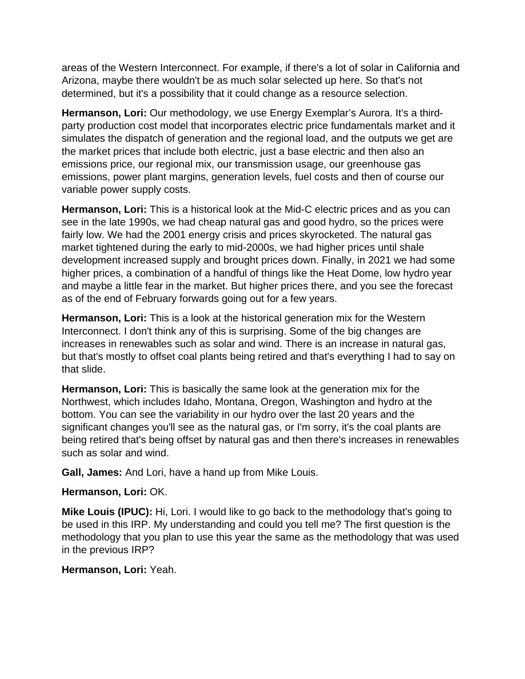areas of the Western Interconnect. For example, if there's a lot of solar in California and Arizona, maybe there wouldn't be as much solar selected up here. So that's not determined, but it's a possibility that it could change as a resource selection.

**Hermanson, Lori:** Our methodology, we use Energy Exemplar's Aurora. It's a thirdparty production cost model that incorporates electric price fundamentals market and it simulates the dispatch of generation and the regional load, and the outputs we get are the market prices that include both electric, just a base electric and then also an emissions price, our regional mix, our transmission usage, our greenhouse gas emissions, power plant margins, generation levels, fuel costs and then of course our variable power supply costs.

**Hermanson, Lori:** This is a historical look at the Mid-C electric prices and as you can see in the late 1990s, we had cheap natural gas and good hydro, so the prices were fairly low. We had the 2001 energy crisis and prices skyrocketed. The natural gas market tightened during the early to mid-2000s, we had higher prices until shale development increased supply and brought prices down. Finally, in 2021 we had some higher prices, a combination of a handful of things like the Heat Dome, low hydro year and maybe a little fear in the market. But higher prices there, and you see the forecast as of the end of February forwards going out for a few years.

**Hermanson, Lori:** This is a look at the historical generation mix for the Western Interconnect. I don't think any of this is surprising. Some of the big changes are increases in renewables such as solar and wind. There is an increase in natural gas, but that's mostly to offset coal plants being retired and that's everything I had to say on that slide.

**Hermanson, Lori:** This is basically the same look at the generation mix for the Northwest, which includes Idaho, Montana, Oregon, Washington and hydro at the bottom. You can see the variability in our hydro over the last 20 years and the significant changes you'll see as the natural gas, or I'm sorry, it's the coal plants are being retired that's being offset by natural gas and then there's increases in renewables such as solar and wind.

**Gall, James:** And Lori, have a hand up from Mike Louis.

**Hermanson, Lori:** OK.

**Mike Louis (IPUC):** Hi, Lori. I would like to go back to the methodology that's going to be used in this IRP. My understanding and could you tell me? The first question is the methodology that you plan to use this year the same as the methodology that was used in the previous IRP?

**Hermanson, Lori:** Yeah.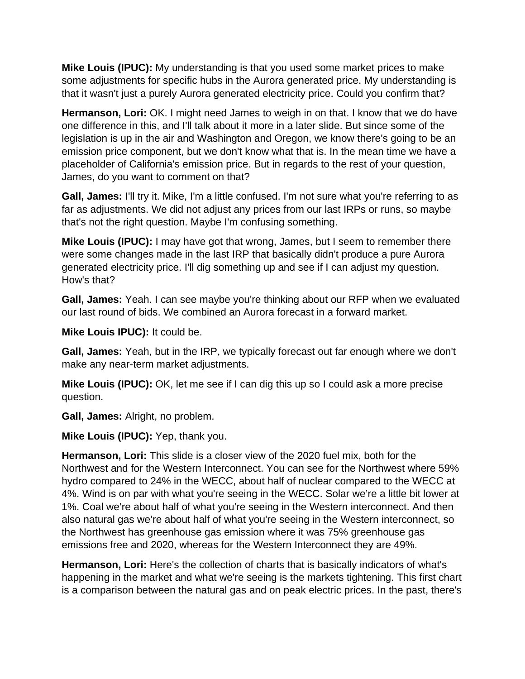**Mike Louis (IPUC):** My understanding is that you used some market prices to make some adjustments for specific hubs in the Aurora generated price. My understanding is that it wasn't just a purely Aurora generated electricity price. Could you confirm that?

**Hermanson, Lori:** OK. I might need James to weigh in on that. I know that we do have one difference in this, and I'll talk about it more in a later slide. But since some of the legislation is up in the air and Washington and Oregon, we know there's going to be an emission price component, but we don't know what that is. In the mean time we have a placeholder of California's emission price. But in regards to the rest of your question, James, do you want to comment on that?

**Gall, James:** I'll try it. Mike, I'm a little confused. I'm not sure what you're referring to as far as adjustments. We did not adjust any prices from our last IRPs or runs, so maybe that's not the right question. Maybe I'm confusing something.

**Mike Louis (IPUC):** I may have got that wrong, James, but I seem to remember there were some changes made in the last IRP that basically didn't produce a pure Aurora generated electricity price. I'll dig something up and see if I can adjust my question. How's that?

**Gall, James:** Yeah. I can see maybe you're thinking about our RFP when we evaluated our last round of bids. We combined an Aurora forecast in a forward market.

**Mike Louis IPUC):** It could be.

**Gall, James:** Yeah, but in the IRP, we typically forecast out far enough where we don't make any near-term market adjustments.

**Mike Louis (IPUC):** OK, let me see if I can dig this up so I could ask a more precise question.

**Gall, James:** Alright, no problem.

**Mike Louis (IPUC):** Yep, thank you.

**Hermanson, Lori:** This slide is a closer view of the 2020 fuel mix, both for the Northwest and for the Western Interconnect. You can see for the Northwest where 59% hydro compared to 24% in the WECC, about half of nuclear compared to the WECC at 4%. Wind is on par with what you're seeing in the WECC. Solar we're a little bit lower at 1%. Coal we're about half of what you're seeing in the Western interconnect. And then also natural gas we're about half of what you're seeing in the Western interconnect, so the Northwest has greenhouse gas emission where it was 75% greenhouse gas emissions free and 2020, whereas for the Western Interconnect they are 49%.

**Hermanson, Lori:** Here's the collection of charts that is basically indicators of what's happening in the market and what we're seeing is the markets tightening. This first chart is a comparison between the natural gas and on peak electric prices. In the past, there's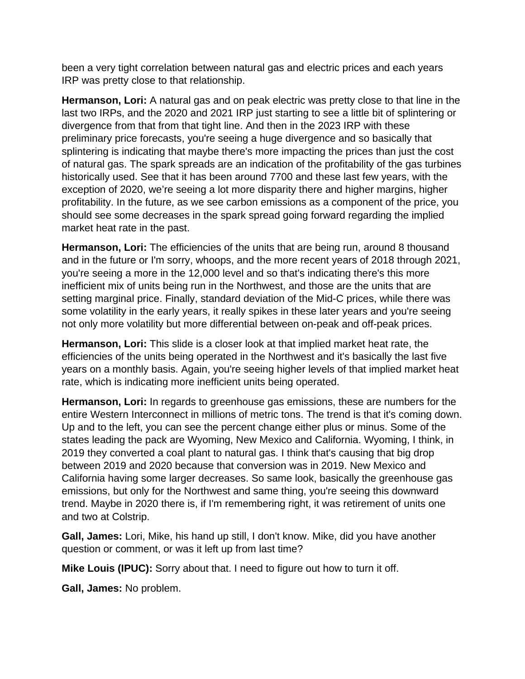been a very tight correlation between natural gas and electric prices and each years IRP was pretty close to that relationship.

**Hermanson, Lori:** A natural gas and on peak electric was pretty close to that line in the last two IRPs, and the 2020 and 2021 IRP just starting to see a little bit of splintering or divergence from that from that tight line. And then in the 2023 IRP with these preliminary price forecasts, you're seeing a huge divergence and so basically that splintering is indicating that maybe there's more impacting the prices than just the cost of natural gas. The spark spreads are an indication of the profitability of the gas turbines historically used. See that it has been around 7700 and these last few years, with the exception of 2020, we're seeing a lot more disparity there and higher margins, higher profitability. In the future, as we see carbon emissions as a component of the price, you should see some decreases in the spark spread going forward regarding the implied market heat rate in the past.

**Hermanson, Lori:** The efficiencies of the units that are being run, around 8 thousand and in the future or I'm sorry, whoops, and the more recent years of 2018 through 2021, you're seeing a more in the 12,000 level and so that's indicating there's this more inefficient mix of units being run in the Northwest, and those are the units that are setting marginal price. Finally, standard deviation of the Mid-C prices, while there was some volatility in the early years, it really spikes in these later years and you're seeing not only more volatility but more differential between on-peak and off-peak prices.

**Hermanson, Lori:** This slide is a closer look at that implied market heat rate, the efficiencies of the units being operated in the Northwest and it's basically the last five years on a monthly basis. Again, you're seeing higher levels of that implied market heat rate, which is indicating more inefficient units being operated.

**Hermanson, Lori:** In regards to greenhouse gas emissions, these are numbers for the entire Western Interconnect in millions of metric tons. The trend is that it's coming down. Up and to the left, you can see the percent change either plus or minus. Some of the states leading the pack are Wyoming, New Mexico and California. Wyoming, I think, in 2019 they converted a coal plant to natural gas. I think that's causing that big drop between 2019 and 2020 because that conversion was in 2019. New Mexico and California having some larger decreases. So same look, basically the greenhouse gas emissions, but only for the Northwest and same thing, you're seeing this downward trend. Maybe in 2020 there is, if I'm remembering right, it was retirement of units one and two at Colstrip.

**Gall, James:** Lori, Mike, his hand up still, I don't know. Mike, did you have another question or comment, or was it left up from last time?

**Mike Louis (IPUC):** Sorry about that. I need to figure out how to turn it off.

**Gall, James:** No problem.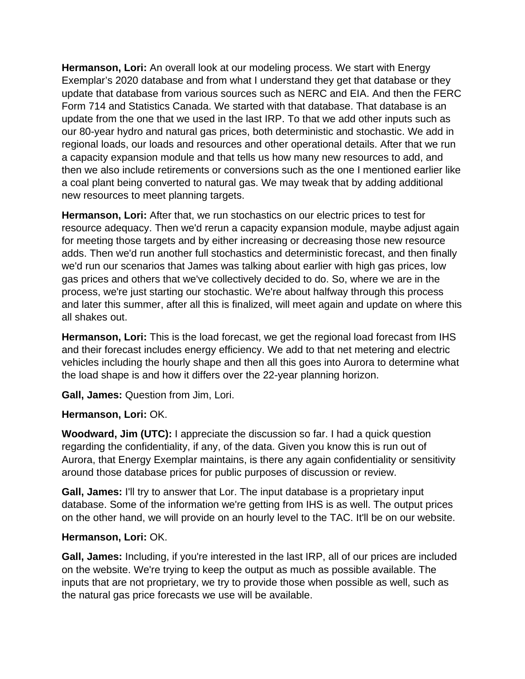**Hermanson, Lori:** An overall look at our modeling process. We start with Energy Exemplar's 2020 database and from what I understand they get that database or they update that database from various sources such as NERC and EIA. And then the FERC Form 714 and Statistics Canada. We started with that database. That database is an update from the one that we used in the last IRP. To that we add other inputs such as our 80-year hydro and natural gas prices, both deterministic and stochastic. We add in regional loads, our loads and resources and other operational details. After that we run a capacity expansion module and that tells us how many new resources to add, and then we also include retirements or conversions such as the one I mentioned earlier like a coal plant being converted to natural gas. We may tweak that by adding additional new resources to meet planning targets.

**Hermanson, Lori:** After that, we run stochastics on our electric prices to test for resource adequacy. Then we'd rerun a capacity expansion module, maybe adjust again for meeting those targets and by either increasing or decreasing those new resource adds. Then we'd run another full stochastics and deterministic forecast, and then finally we'd run our scenarios that James was talking about earlier with high gas prices, low gas prices and others that we've collectively decided to do. So, where we are in the process, we're just starting our stochastic. We're about halfway through this process and later this summer, after all this is finalized, will meet again and update on where this all shakes out.

**Hermanson, Lori:** This is the load forecast, we get the regional load forecast from IHS and their forecast includes energy efficiency. We add to that net metering and electric vehicles including the hourly shape and then all this goes into Aurora to determine what the load shape is and how it differs over the 22-year planning horizon.

**Gall, James:** Question from Jim, Lori.

## **Hermanson, Lori:** OK.

**Woodward, Jim (UTC):** I appreciate the discussion so far. I had a quick question regarding the confidentiality, if any, of the data. Given you know this is run out of Aurora, that Energy Exemplar maintains, is there any again confidentiality or sensitivity around those database prices for public purposes of discussion or review.

**Gall, James:** I'll try to answer that Lor. The input database is a proprietary input database. Some of the information we're getting from IHS is as well. The output prices on the other hand, we will provide on an hourly level to the TAC. It'll be on our website.

#### **Hermanson, Lori:** OK.

**Gall, James:** Including, if you're interested in the last IRP, all of our prices are included on the website. We're trying to keep the output as much as possible available. The inputs that are not proprietary, we try to provide those when possible as well, such as the natural gas price forecasts we use will be available.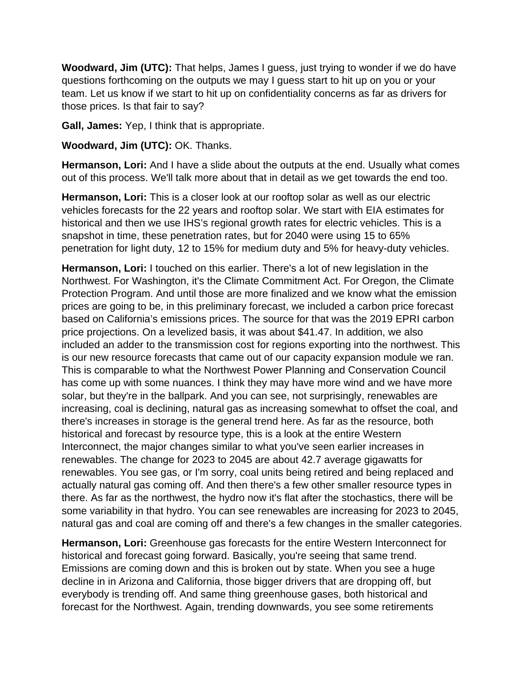**Woodward, Jim (UTC):** That helps, James I guess, just trying to wonder if we do have questions forthcoming on the outputs we may I guess start to hit up on you or your team. Let us know if we start to hit up on confidentiality concerns as far as drivers for those prices. Is that fair to say?

**Gall, James:** Yep, I think that is appropriate.

**Woodward, Jim (UTC):** OK. Thanks.

**Hermanson, Lori:** And I have a slide about the outputs at the end. Usually what comes out of this process. We'll talk more about that in detail as we get towards the end too.

**Hermanson, Lori:** This is a closer look at our rooftop solar as well as our electric vehicles forecasts for the 22 years and rooftop solar. We start with EIA estimates for historical and then we use IHS's regional growth rates for electric vehicles. This is a snapshot in time, these penetration rates, but for 2040 were using 15 to 65% penetration for light duty, 12 to 15% for medium duty and 5% for heavy-duty vehicles.

**Hermanson, Lori:** I touched on this earlier. There's a lot of new legislation in the Northwest. For Washington, it's the Climate Commitment Act. For Oregon, the Climate Protection Program. And until those are more finalized and we know what the emission prices are going to be, in this preliminary forecast, we included a carbon price forecast based on California's emissions prices. The source for that was the 2019 EPRI carbon price projections. On a levelized basis, it was about \$41.47. In addition, we also included an adder to the transmission cost for regions exporting into the northwest. This is our new resource forecasts that came out of our capacity expansion module we ran. This is comparable to what the Northwest Power Planning and Conservation Council has come up with some nuances. I think they may have more wind and we have more solar, but they're in the ballpark. And you can see, not surprisingly, renewables are increasing, coal is declining, natural gas as increasing somewhat to offset the coal, and there's increases in storage is the general trend here. As far as the resource, both historical and forecast by resource type, this is a look at the entire Western Interconnect, the major changes similar to what you've seen earlier increases in renewables. The change for 2023 to 2045 are about 42.7 average gigawatts for renewables. You see gas, or I'm sorry, coal units being retired and being replaced and actually natural gas coming off. And then there's a few other smaller resource types in there. As far as the northwest, the hydro now it's flat after the stochastics, there will be some variability in that hydro. You can see renewables are increasing for 2023 to 2045, natural gas and coal are coming off and there's a few changes in the smaller categories.

**Hermanson, Lori:** Greenhouse gas forecasts for the entire Western Interconnect for historical and forecast going forward. Basically, you're seeing that same trend. Emissions are coming down and this is broken out by state. When you see a huge decline in in Arizona and California, those bigger drivers that are dropping off, but everybody is trending off. And same thing greenhouse gases, both historical and forecast for the Northwest. Again, trending downwards, you see some retirements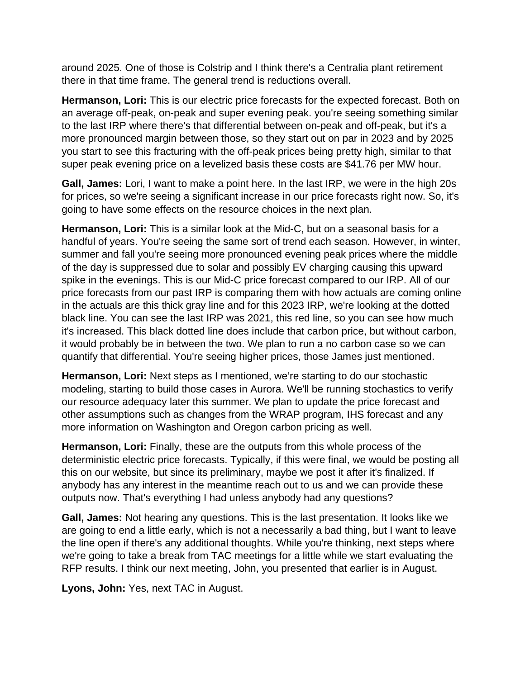around 2025. One of those is Colstrip and I think there's a Centralia plant retirement there in that time frame. The general trend is reductions overall.

**Hermanson, Lori:** This is our electric price forecasts for the expected forecast. Both on an average off-peak, on-peak and super evening peak. you're seeing something similar to the last IRP where there's that differential between on-peak and off-peak, but it's a more pronounced margin between those, so they start out on par in 2023 and by 2025 you start to see this fracturing with the off-peak prices being pretty high, similar to that super peak evening price on a levelized basis these costs are \$41.76 per MW hour.

**Gall, James:** Lori, I want to make a point here. In the last IRP, we were in the high 20s for prices, so we're seeing a significant increase in our price forecasts right now. So, it's going to have some effects on the resource choices in the next plan.

**Hermanson, Lori:** This is a similar look at the Mid-C, but on a seasonal basis for a handful of years. You're seeing the same sort of trend each season. However, in winter, summer and fall you're seeing more pronounced evening peak prices where the middle of the day is suppressed due to solar and possibly EV charging causing this upward spike in the evenings. This is our Mid-C price forecast compared to our IRP. All of our price forecasts from our past IRP is comparing them with how actuals are coming online in the actuals are this thick gray line and for this 2023 IRP, we're looking at the dotted black line. You can see the last IRP was 2021, this red line, so you can see how much it's increased. This black dotted line does include that carbon price, but without carbon, it would probably be in between the two. We plan to run a no carbon case so we can quantify that differential. You're seeing higher prices, those James just mentioned.

**Hermanson, Lori:** Next steps as I mentioned, we're starting to do our stochastic modeling, starting to build those cases in Aurora. We'll be running stochastics to verify our resource adequacy later this summer. We plan to update the price forecast and other assumptions such as changes from the WRAP program, IHS forecast and any more information on Washington and Oregon carbon pricing as well.

**Hermanson, Lori:** Finally, these are the outputs from this whole process of the deterministic electric price forecasts. Typically, if this were final, we would be posting all this on our website, but since its preliminary, maybe we post it after it's finalized. If anybody has any interest in the meantime reach out to us and we can provide these outputs now. That's everything I had unless anybody had any questions?

**Gall, James:** Not hearing any questions. This is the last presentation. It looks like we are going to end a little early, which is not a necessarily a bad thing, but I want to leave the line open if there's any additional thoughts. While you're thinking, next steps where we're going to take a break from TAC meetings for a little while we start evaluating the RFP results. I think our next meeting, John, you presented that earlier is in August.

**Lyons, John:** Yes, next TAC in August.